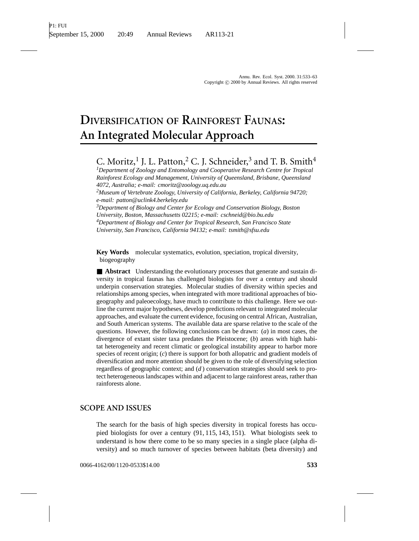# **DIVERSIFICATION OF RAINFOREST FAUNAS: An Integrated Molecular Approach**

# C. Moritz,<sup>1</sup> J. L. Patton,<sup>2</sup> C. J. Schneider,<sup>3</sup> and T. B. Smith<sup>4</sup>

*1Department of Zoology and Entomology and Cooperative Research Centre for Tropical Rainforest Ecology and Management, University of Queensland, Brisbane, Queensland 4072, Australia; e-mail: cmoritz@zoology.uq.edu.au*

*2Museum of Vertebrate Zoology, University of California, Berkeley, California 94720; e-mail: patton@uclink4.berkeley.edu*

*3Department of Biology and Center for Ecology and Conservation Biology, Boston University, Boston, Massachusetts 02215; e-mail: cschneid@bio.bu.edu 4Department of Biology and Center for Tropical Research, San Francisco State University, San Francisco, California 94132; e-mail: tsmith@sfsu.edu*

**Key Words** molecular systematics, evolution, speciation, tropical diversity, biogeography

■ **Abstract** Understanding the evolutionary processes that generate and sustain diversity in tropical faunas has challenged biologists for over a century and should underpin conservation strategies. Molecular studies of diversity within species and relationships among species, when integrated with more traditional approaches of biogeography and paleoecology, have much to contribute to this challenge. Here we outline the current major hypotheses, develop predictions relevant to integrated molecular approaches, and evaluate the current evidence, focusing on central African, Australian, and South American systems. The available data are sparse relative to the scale of the questions. However, the following conclusions can be drawn: (*a*) in most cases, the divergence of extant sister taxa predates the Pleistocene; (*b*) areas with high habitat heterogeneity and recent climatic or geological instability appear to harbor more species of recent origin; (*c*) there is support for both allopatric and gradient models of diversification and more attention should be given to the role of diversifying selection regardless of geographic context; and (*d* ) conservation strategies should seek to protect heterogeneous landscapes within and adjacent to large rainforest areas, rather than rainforests alone.

# **SCOPE AND ISSUES**

The search for the basis of high species diversity in tropical forests has occupied biologists for over a century (91, 115, 143, 151). What biologists seek to understand is how there come to be so many species in a single place (alpha diversity) and so much turnover of species between habitats (beta diversity) and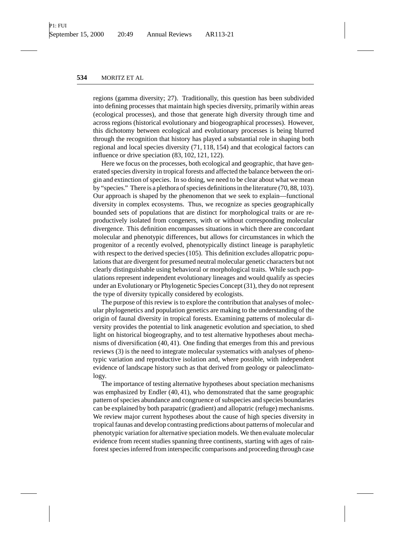regions (gamma diversity; 27). Traditionally, this question has been subdivided into defining processes that maintain high species diversity, primarily within areas (ecological processes), and those that generate high diversity through time and across regions (historical evolutionary and biogeographical processes). However, this dichotomy between ecological and evolutionary processes is being blurred through the recognition that history has played a substantial role in shaping both regional and local species diversity (71, 118, 154) and that ecological factors can influence or drive speciation (83, 102, 121, 122).

Here we focus on the processes, both ecological and geographic, that have generated species diversity in tropical forests and affected the balance between the origin and extinction of species. In so doing, we need to be clear about what we mean by "species." There is a plethora of species definitions in the literature (70, 88, 103). Our approach is shaped by the phenomenon that we seek to explain—functional diversity in complex ecosystems. Thus, we recognize as species geographically bounded sets of populations that are distinct for morphological traits or are reproductively isolated from congeners, with or without corresponding molecular divergence. This definition encompasses situations in which there are concordant molecular and phenotypic differences, but allows for circumstances in which the progenitor of a recently evolved, phenotypically distinct lineage is paraphyletic with respect to the derived species (105). This definition excludes allopatric populations that are divergent for presumed neutral molecular genetic characters but not clearly distinguishable using behavioral or morphological traits. While such populations represent independent evolutionary lineages and would qualify as species under an Evolutionary or Phylogenetic Species Concept (31), they do not represent the type of diversity typically considered by ecologists.

The purpose of this review is to explore the contribution that analyses of molecular phylogenetics and population genetics are making to the understanding of the origin of faunal diversity in tropical forests. Examining patterns of molecular diversity provides the potential to link anagenetic evolution and speciation, to shed light on historical biogeography, and to test alternative hypotheses about mechanisms of diversification (40, 41). One finding that emerges from this and previous reviews (3) is the need to integrate molecular systematics with analyses of phenotypic variation and reproductive isolation and, where possible, with independent evidence of landscape history such as that derived from geology or paleoclimatology.

The importance of testing alternative hypotheses about speciation mechanisms was emphasized by Endler (40, 41), who demonstrated that the same geographic pattern of species abundance and congruence of subspecies and species boundaries can be explained by both parapatric (gradient) and allopatric (refuge) mechanisms. We review major current hypotheses about the cause of high species diversity in tropical faunas and develop contrasting predictions about patterns of molecular and phenotypic variation for alternative speciation models. We then evaluate molecular evidence from recent studies spanning three continents, starting with ages of rainforest species inferred from interspecific comparisons and proceeding through case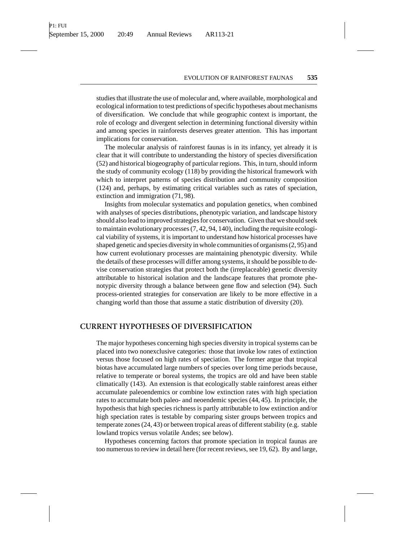studies that illustrate the use of molecular and, where available, morphological and ecological information to test predictions of specific hypotheses about mechanisms of diversification. We conclude that while geographic context is important, the role of ecology and divergent selection in determining functional diversity within and among species in rainforests deserves greater attention. This has important implications for conservation.

The molecular analysis of rainforest faunas is in its infancy, yet already it is clear that it will contribute to understanding the history of species diversification (52) and historical biogeography of particular regions. This, in turn, should inform the study of community ecology (118) by providing the historical framework with which to interpret patterns of species distribution and community composition (124) and, perhaps, by estimating critical variables such as rates of speciation, extinction and immigration (71, 98).

Insights from molecular systematics and population genetics, when combined with analyses of species distributions, phenotypic variation, and landscape history should also lead to improved strategies for conservation. Given that we should seek to maintain evolutionary processes (7, 42, 94, 140), including the requisite ecological viability of systems, it is important to understand how historical processes have shaped genetic and species diversity in whole communities of organisms (2, 95) and how current evolutionary processes are maintaining phenotypic diversity. While the details of these processes will differ among systems, it should be possible to devise conservation strategies that protect both the (irreplaceable) genetic diversity attributable to historical isolation and the landscape features that promote phenotypic diversity through a balance between gene flow and selection (94). Such process-oriented strategies for conservation are likely to be more effective in a changing world than those that assume a static distribution of diversity (20).

### **CURRENT HYPOTHESES OF DIVERSIFICATION**

The major hypotheses concerning high species diversity in tropical systems can be placed into two nonexclusive categories: those that invoke low rates of extinction versus those focused on high rates of speciation. The former argue that tropical biotas have accumulated large numbers of species over long time periods because, relative to temperate or boreal systems, the tropics are old and have been stable climatically (143). An extension is that ecologically stable rainforest areas either accumulate paleoendemics or combine low extinction rates with high speciation rates to accumulate both paleo- and neoendemic species (44, 45). In principle, the hypothesis that high species richness is partly attributable to low extinction and/or high speciation rates is testable by comparing sister groups between tropics and temperate zones (24, 43) or between tropical areas of different stability (e.g. stable lowland tropics versus volatile Andes; see below).

Hypotheses concerning factors that promote speciation in tropical faunas are too numerous to review in detail here (for recent reviews, see 19, 62). By and large,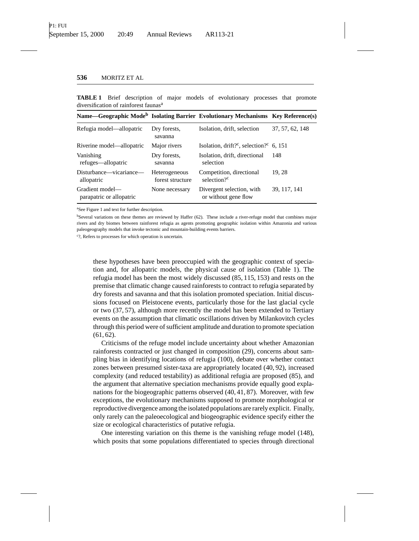| Name—Geographic Mode <sup>b</sup> Isolating Barrier Evolutionary Mechanisms Key Reference(s) |                                          |                                                                 |                 |
|----------------------------------------------------------------------------------------------|------------------------------------------|-----------------------------------------------------------------|-----------------|
| Refugia model—allopatric                                                                     | Dry forests,<br>savanna                  | Isolation, drift, selection                                     | 37, 57, 62, 148 |
| Riverine model—allopatric                                                                    | Major rivers                             | Isolation, drift? <sup>c</sup> , selection? <sup>c</sup> 6, 151 |                 |
| Vanishing<br>refuges—allopatric                                                              | Dry forests,<br>savanna                  | Isolation, drift, directional<br>selection                      | 148             |
| Disturbance—vicariance—<br>allopatric                                                        | <b>Heterogeneous</b><br>forest structure | Competition, directional<br>selection? <sup>c</sup>             | 19.28           |
| Gradient model—<br>parapatric or allopatric                                                  | None necessary                           | Divergent selection, with<br>or without gene flow               | 39, 117, 141    |

**TABLE 1** Brief description of major models of evolutionary processes that promote diversification of rainforest faunas<sup>a</sup>

a See Figure 1 and text for further description.

b Several variations on these themes are reviewed by Haffer (62). These include a river-refuge model that combines major rivers and dry biomes between rainforest refugia as agents promoting geographic isolation within Amazonia and various paleogeography models that invoke tectonic and mountain-building events barriers.

<sup>c</sup>?, Refers to processes for which operation is uncertain.

these hypotheses have been preoccupied with the geographic context of speciation and, for allopatric models, the physical cause of isolation (Table 1). The refugia model has been the most widely discussed (85, 115, 153) and rests on the premise that climatic change caused rainforests to contract to refugia separated by dry forests and savanna and that this isolation promoted speciation. Initial discussions focused on Pleistocene events, particularly those for the last glacial cycle or two (37, 57), although more recently the model has been extended to Tertiary events on the assumption that climatic oscillations driven by Milankovitch cycles through this period were of sufficient amplitude and duration to promote speciation (61, 62).

Criticisms of the refuge model include uncertainty about whether Amazonian rainforests contracted or just changed in composition (29), concerns about sampling bias in identifying locations of refugia (100), debate over whether contact zones between presumed sister-taxa are appropriately located (40, 92), increased complexity (and reduced testability) as additional refugia are proposed (85), and the argument that alternative speciation mechanisms provide equally good explanations for the biogeographic patterns observed (40, 41, 87). Moreover, with few exceptions, the evolutionary mechanisms supposed to promote morphological or reproductive divergence among the isolated populations are rarely explicit. Finally, only rarely can the paleoecological and biogeographic evidence specify either the size or ecological characteristics of putative refugia.

One interesting variation on this theme is the vanishing refuge model (148), which posits that some populations differentiated to species through directional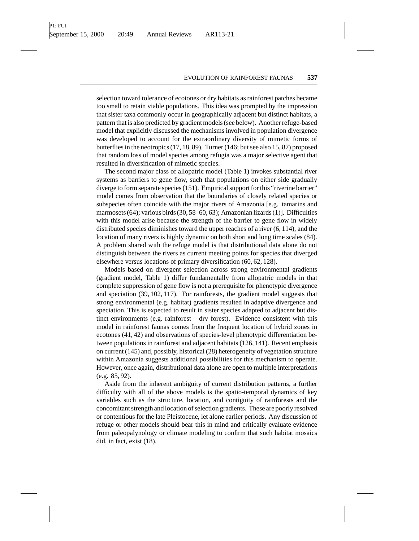selection toward tolerance of ecotones or dry habitats as rainforest patches became too small to retain viable populations. This idea was prompted by the impression that sister taxa commonly occur in geographically adjacent but distinct habitats, a pattern that is also predicted by gradient models (see below). Another refuge-based model that explicitly discussed the mechanisms involved in population divergence was developed to account for the extraordinary diversity of mimetic forms of butterflies in the neotropics (17, 18, 89). Turner (146; but see also 15, 87) proposed that random loss of model species among refugia was a major selective agent that resulted in diversification of mimetic species.

The second major class of allopatric model (Table 1) invokes substantial river systems as barriers to gene flow, such that populations on either side gradually diverge to form separate species (151). Empirical support for this "riverine barrier" model comes from observation that the boundaries of closely related species or subspecies often coincide with the major rivers of Amazonia [e.g. tamarins and marmosets (64); various birds (30, 58–60, 63); Amazonian lizards (1)]. Difficulties with this model arise because the strength of the barrier to gene flow in widely distributed species diminishes toward the upper reaches of a river (6, 114), and the location of many rivers is highly dynamic on both short and long time scales (84). A problem shared with the refuge model is that distributional data alone do not distinguish between the rivers as current meeting points for species that diverged elsewhere versus locations of primary diversification (60, 62, 128).

Models based on divergent selection across strong environmental gradients (gradient model, Table 1) differ fundamentally from allopatric models in that complete suppression of gene flow is not a prerequisite for phenotypic divergence and speciation (39, 102, 117). For rainforests, the gradient model suggests that strong environmental (e.g. habitat) gradients resulted in adaptive divergence and speciation. This is expected to result in sister species adapted to adjacent but distinct environments (e.g. rainforest— dry forest). Evidence consistent with this model in rainforest faunas comes from the frequent location of hybrid zones in ecotones (41, 42) and observations of species-level phenotypic differentiation between populations in rainforest and adjacent habitats (126, 141). Recent emphasis on current (145) and, possibly, historical (28) heterogeneity of vegetation structure within Amazonia suggests additional possibilities for this mechanism to operate. However, once again, distributional data alone are open to multiple interpretations (e.g. 85, 92).

Aside from the inherent ambiguity of current distribution patterns, a further difficulty with all of the above models is the spatio-temporal dynamics of key variables such as the structure, location, and contiguity of rainforests and the concomitant strength and location of selection gradients. These are poorly resolved or contentious for the late Pleistocene, let alone earlier periods. Any discussion of refuge or other models should bear this in mind and critically evaluate evidence from paleopalynology or climate modeling to confirm that such habitat mosaics did, in fact, exist (18).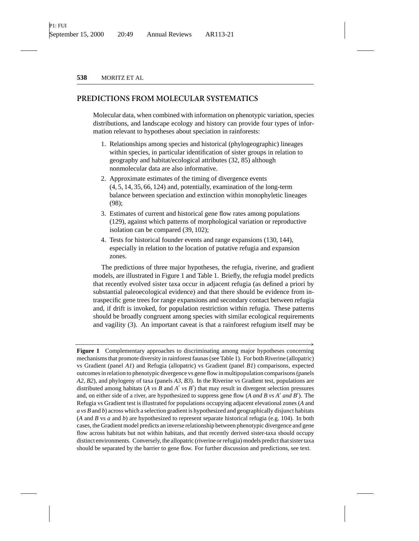# **PREDICTIONS FROM MOLECULAR SYSTEMATICS**

Molecular data, when combined with information on phenotypic variation, species distributions, and landscape ecology and history can provide four types of information relevant to hypotheses about speciation in rainforests:

- 1. Relationships among species and historical (phylogeographic) lineages within species, in particular identification of sister groups in relation to geography and habitat/ecological attributes (32, 85) although nonmolecular data are also informative.
- 2. Approximate estimates of the timing of divergence events (4, 5, 14, 35, 66, 124) and, potentially, examination of the long-term balance between speciation and extinction within monophyletic lineages (98);
- 3. Estimates of current and historical gene flow rates among populations (129), against which patterns of morphological variation or reproductive isolation can be compared (39, 102);
- 4. Tests for historical founder events and range expansions (130, 144), especially in relation to the location of putative refugia and expansion zones.

The predictions of three major hypotheses, the refugia, riverine, and gradient models, are illustrated in Figure 1 and Table 1. Briefly, the refugia model predicts that recently evolved sister taxa occur in adjacent refugia (as defined a priori by substantial paleoecological evidence) and that there should be evidence from intraspecific gene trees for range expansions and secondary contact between refugia and, if drift is invoked, for population restriction within refugia. These patterns should be broadly congruent among species with similar ecological requirements and vagility (3). An important caveat is that a rainforest refugium itself may be

**Figure 1** Complementary approaches to discriminating among major hypotheses concerning mechanisms that promote diversity in rainforest faunas (see Table 1). For both Riverine (allopatric) vs Gradient (panel *A1*) and Refugia (allopatric) vs Gradient (panel *B1*) comparisons, expected outcomes in relation to phenotypic divergence vs gene flow in multipopulation comparisons (panels *A2*, *B2*), and phylogeny of taxa (panels *A3*, *B3*). In the Riverine vs Gradient test, populations are distributed among habitats (*A vs B* and  $A'$  *vs B'*) that may result in divergent selection pressures and, on either side of a river, are hypothesized to suppress gene flow (*A and B vs A' and B'*). The Refugia vs Gradient test is illustrated for populations occupying adjacent elevational zones (*A* and *a vs B* and *b*) across which a selection gradient is hypothesized and geographically disjunct habitats (*A* and *B* vs *a* and *b*) are hypothesized to represent separate historical refugia (e.g. 104). In both cases, the Gradient model predicts an inverse relationship between phenotypic divergence and gene flow across habitats but not within habitats, and that recently derived sister-taxa should occupy distinct environments. Conversely, the allopatric (riverine or refugia) models predict that sister taxa should be separated by the barrier to gene flow. For further discussion and predictions, see text.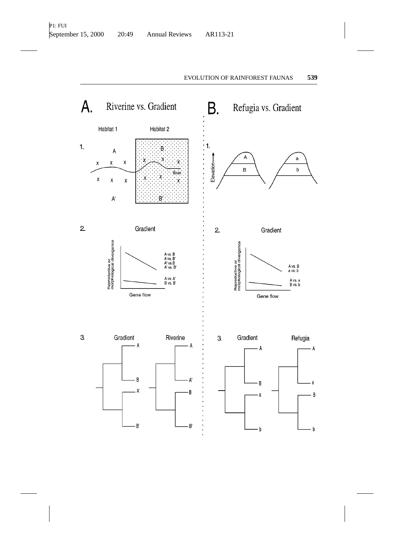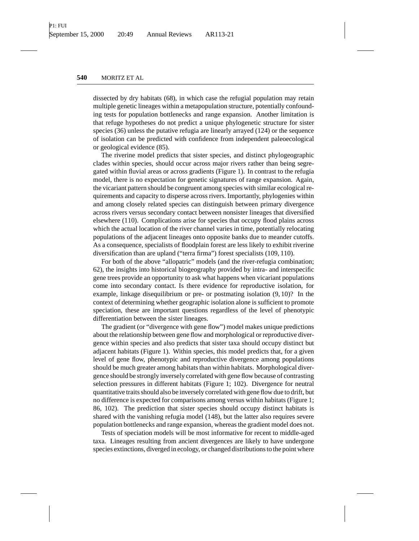dissected by dry habitats (68), in which case the refugial population may retain multiple genetic lineages within a metapopulation structure, potentially confounding tests for population bottlenecks and range expansion. Another limitation is that refuge hypotheses do not predict a unique phylogenetic structure for sister species (36) unless the putative refugia are linearly arrayed (124) or the sequence of isolation can be predicted with confidence from independent paleoecological or geological evidence (85).

The riverine model predicts that sister species, and distinct phylogeographic clades within species, should occur across major rivers rather than being segregated within fluvial areas or across gradients (Figure 1). In contrast to the refugia model, there is no expectation for genetic signatures of range expansion. Again, the vicariant pattern should be congruent among species with similar ecological requirements and capacity to disperse across rivers. Importantly, phylogenies within and among closely related species can distinguish between primary divergence across rivers versus secondary contact between nonsister lineages that diversified elsewhere (110). Complications arise for species that occupy flood plains across which the actual location of the river channel varies in time, potentially relocating populations of the adjacent lineages onto opposite banks due to meander cutoffs. As a consequence, specialists of floodplain forest are less likely to exhibit riverine diversification than are upland ("terra firma") forest specialists (109, 110).

For both of the above "allopatric" models (and the river-refugia combination; 62), the insights into historical biogeography provided by intra- and interspecific gene trees provide an opportunity to ask what happens when vicariant populations come into secondary contact. Is there evidence for reproductive isolation, for example, linkage disequilibrium or pre- or postmating isolation (9, 10)? In the context of determining whether geographic isolation alone is sufficient to promote speciation, these are important questions regardless of the level of phenotypic differentiation between the sister lineages.

The gradient (or "divergence with gene flow") model makes unique predictions about the relationship between gene flow and morphological or reproductive divergence within species and also predicts that sister taxa should occupy distinct but adjacent habitats (Figure 1). Within species, this model predicts that, for a given level of gene flow, phenotypic and reproductive divergence among populations should be much greater among habitats than within habitats. Morphological divergence should be strongly inversely correlated with gene flow because of contrasting selection pressures in different habitats (Figure 1; 102). Divergence for neutral quantitative traits should also be inversely correlated with gene flow due to drift, but no difference is expected for comparisons among versus within habitats (Figure 1; 86, 102). The prediction that sister species should occupy distinct habitats is shared with the vanishing refugia model (148), but the latter also requires severe population bottlenecks and range expansion, whereas the gradient model does not.

Tests of speciation models will be most informative for recent to middle-aged taxa. Lineages resulting from ancient divergences are likely to have undergone species extinctions, diverged in ecology, or changed distributions to the point where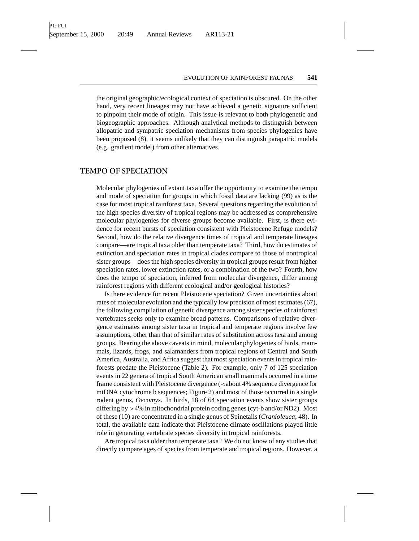the original geographic/ecological context of speciation is obscured. On the other hand, very recent lineages may not have achieved a genetic signature sufficient to pinpoint their mode of origin. This issue is relevant to both phylogenetic and biogeographic approaches. Although analytical methods to distinguish between allopatric and sympatric speciation mechanisms from species phylogenies have been proposed (8), it seems unlikely that they can distinguish parapatric models (e.g. gradient model) from other alternatives.

#### **TEMPO OF SPECIATION**

Molecular phylogenies of extant taxa offer the opportunity to examine the tempo and mode of speciation for groups in which fossil data are lacking (99) as is the case for most tropical rainforest taxa. Several questions regarding the evolution of the high species diversity of tropical regions may be addressed as comprehensive molecular phylogenies for diverse groups become available. First, is there evidence for recent bursts of speciation consistent with Pleistocene Refuge models? Second, how do the relative divergence times of tropical and temperate lineages compare—are tropical taxa older than temperate taxa? Third, how do estimates of extinction and speciation rates in tropical clades compare to those of nontropical sister groups—does the high species diversity in tropical groups result from higher speciation rates, lower extinction rates, or a combination of the two? Fourth, how does the tempo of speciation, inferred from molecular divergence, differ among rainforest regions with different ecological and/or geological histories?

Is there evidence for recent Pleistocene speciation? Given uncertainties about rates of molecular evolution and the typically low precision of most estimates (67), the following compilation of genetic divergence among sister species of rainforest vertebrates seeks only to examine broad patterns. Comparisons of relative divergence estimates among sister taxa in tropical and temperate regions involve few assumptions, other than that of similar rates of substitution across taxa and among groups. Bearing the above caveats in mind, molecular phylogenies of birds, mammals, lizards, frogs, and salamanders from tropical regions of Central and South America, Australia, and Africa suggest that most speciation events in tropical rainforests predate the Pleistocene (Table 2). For example, only 7 of 125 speciation events in 22 genera of tropical South American small mammals occurred in a time frame consistent with Pleistocene divergence (<about 4% sequence divergence for mtDNA cytochrome b sequences; Figure 2) and most of those occurred in a single rodent genus, *Oecomys*. In birds, 18 of 64 speciation events show sister groups differing by >4% in mitochondrial protein coding genes (cyt-b and/or ND2). Most of these (10) are concentrated in a single genus of Spinetails (*Cranioleuca*; 48). In total, the available data indicate that Pleistocene climate oscillations played little role in generating vertebrate species diversity in tropical rainforests.

Are tropical taxa older than temperate taxa? We do not know of any studies that directly compare ages of species from temperate and tropical regions. However, a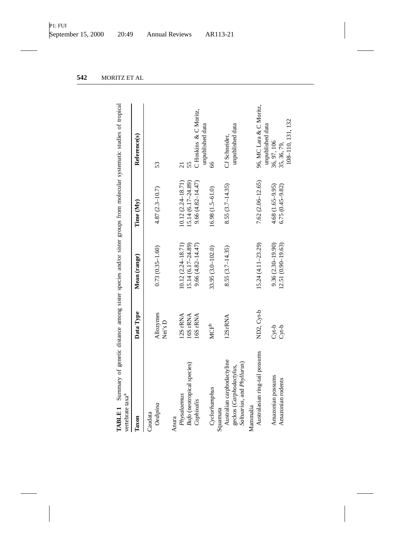| TABLE 1 Summary of genetic distance among sister species and/or sister groups from molecular systematic studies of tropical<br>vertebrate taxa <sup>a</sup> |                         |                                              |                                           |                                             |
|-------------------------------------------------------------------------------------------------------------------------------------------------------------|-------------------------|----------------------------------------------|-------------------------------------------|---------------------------------------------|
| Taxon                                                                                                                                                       | Data Type               | Mean (range)                                 | Time (My)                                 | Reference(s)                                |
| Oedipina<br>Caudata                                                                                                                                         | Allozymes<br>Nei's D    | $0.73(0.35 - 1.60)$                          | $4.87(2.3 - 10.7)$                        | 53                                          |
| Physalaemus<br>Anura                                                                                                                                        | 12S rRNA<br>16S rRNA    | $10.12(2.24 - 18.71)$<br>$15.14(6.17-24.89)$ | 10.12 (2.24-18.71)<br>$15.14(6.17-24.89)$ | 55<br>ಸ                                     |
| Bufo (neotropical species)<br>Cophixalis                                                                                                                    | 16S rRNA                | $9.66(4.82 - 14.47)$                         | $9.66(4.82 - 14.47)$                      | C Hoskins & C Moritz,                       |
| Cyclorhamphus<br>Squamata                                                                                                                                   | <b>MCF</b> <sup>b</sup> | 33.95 (3.0-102.0)                            | 16.98 (1.5-61.0)                          | unpublished data<br>8                       |
| Australian carphodactyline<br>Saltuarius, and Phyllurus)<br>geckos (Carphodactylus,                                                                         | 12SrRNA                 | $8.55(3.7 - 14.35)$                          | $8.55(3.7 - 14.35)$                       | unpublished data<br>CJ Schneider,           |
| Australasian ring-tail possums<br>Mammalia                                                                                                                  | ND2, Cyt-b              | $15.24(4.11 - 23.29)$                        | $7.62(2.06-12.65)$                        | 96, MC Lara & C Moritz,<br>unpublished data |
| Amazonian possums<br>Amazonian rodents                                                                                                                      | $Cyt-b$<br>$Cyt-b$      | $9.36(2.30-19.90)$<br>12.51 (0.90-19.63)     | $4.68(1.65-9.95)$<br>$6.75(0.45 - 9.82)$  | 36, 97, 106<br>35, 36, 79,                  |
|                                                                                                                                                             |                         |                                              |                                           | 108-110, 131, 132                           |

**TABLE 1** Summary of genetic distance among sister species and/or sister groups from molecular systematic studies of tropical

**542** MORITZ ET AL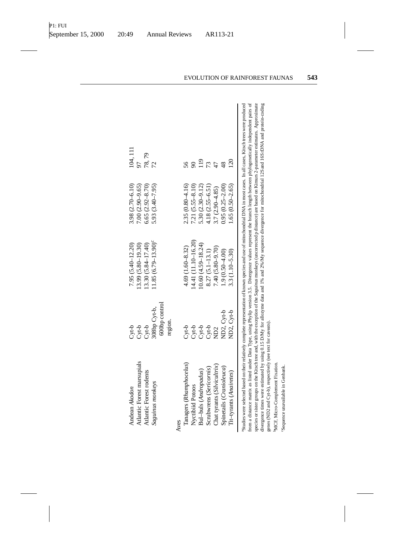| Andean Akodon                                                                                                                                                         | $Cyt-b$         | $7.95(5.40 - 12.20)$   | $3.98(2.70 - 6.10)$ | 104, 111 |
|-----------------------------------------------------------------------------------------------------------------------------------------------------------------------|-----------------|------------------------|---------------------|----------|
| Atlantic Forest marsupials                                                                                                                                            | $Cyt-b$         | $(3.99(5.80 - 19.30))$ | $7.00(2.90 - 9.65)$ |          |
| Atlantic Forest rodents                                                                                                                                               | $7y1-b$         | $13.30(5.84 - 17.40)$  | $6.65(2.92 - 8.70)$ | 78,79    |
| Saguinus monkeys                                                                                                                                                      | 108bp Cyt-b,    | $1.85(6.79 - 13.90)^c$ | $5.93(3.40 - 7.95)$ | 22       |
|                                                                                                                                                                       | 600bp control   |                        |                     |          |
|                                                                                                                                                                       | region.         |                        |                     |          |
| Aves                                                                                                                                                                  |                 |                        |                     |          |
| Tanagers (Rhamphocelus)                                                                                                                                               | $Cyt-b$         | $4.69(1.60 - 8.32)$    | $2.35(0.80 - 4.16)$ | 56       |
| Nyctibiid Potoos                                                                                                                                                      | $Cyt-b$         | 4.41 (11.10-16.20)     | $7.21(5.55 - 8.10)$ |          |
| Bul-buls (Andropadus)                                                                                                                                                 | $Cyt-b$         | $0.60(4.59 - 18.24)$   | $5.30(2.30-9.12)$   |          |
| Scrubwrens (Sericornis)                                                                                                                                               | Cyt-b           | $8.27(5.1 - 13.1)$     | $4.18(2.55 - 6.51)$ |          |
| Chat tyrants (Silvicultrix)                                                                                                                                           | ND <sub>2</sub> | $7.40(5.80 - 9.70)$    | $3.7(2.90 - 4.85)$  |          |
| Spinetails (Cranioleuca)                                                                                                                                              | ND2, Cyt-b      | $1.9(0.50 - 4.00)$     | $0.95(0.25-2.00)$   | 48       |
| Tit-tyrants (Anairetes)                                                                                                                                               | ND2, Cyt-b      | 3.3 (1.10-5.30)        | $1.65(0.50-2.65)$   |          |
| "Studies were selected based on their relatively complete representation of known species and use of mitochondrial DNA in most cases. In all cases, Kitsch trees were |                 |                        |                     |          |

from a distance matrix as listed under Data Type, using Phylip version 3.5. Divergence values represent the branch length between phylogenetically independent pairs of species or sister groups on the Kitsch tree and, with the exception of the Saguinus monkeys (uncorrected p distance) are based on Kimurs 2-parameter estimates. Approximate divergence times were estimated by using 0.15 D/My for allozyme data and 1% and 2%/My sequence divergence for mitochondrial 12S and 16SrDNA and protein-coding e produced aStudies were selected based on their relatively complete representation of known species and use of mitochondrial DNA in most cases. In all cases, Kitsch trees were produced from a distance matrix as listed under Data Type, using Phylip version 3.5. Divergence values represent the branch length between phylogenetically independent pairs of species or sister groups on the Kitsch tree and, with the exception of the *Saguinus* monkeys (uncorrected p distance) are based on Kimurs 2-parameter estimates. Approximate divergence times were estimated by using 0.15 D/My for allozyme data and 1% and 2%/My sequence divergence for mitochondrial 12Sand 16SrDNA and protein-coding genes (ND2 and Cyt-b), respectively (see text for caveats). genes (ND2 and Cyt-b), respectively (see text for caveats). MCF, Micro-Complement Fixation. bMCF, Micro-Complement Fixation.  $\mathbf{g}_{\mathrm{m}}$ 

"Sequence unavailable in Genbank. cSequence unavailable in Genbank.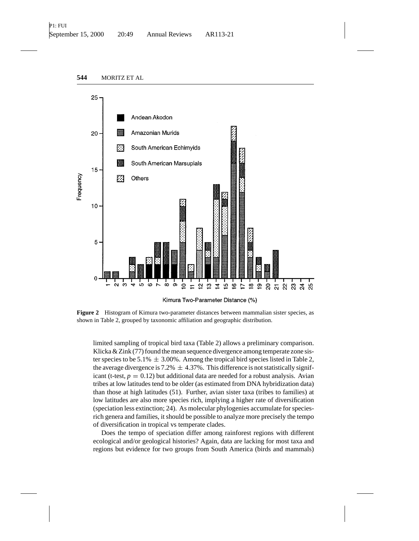

**Figure 2** Histogram of Kimura two-parameter distances between mammalian sister species, as shown in Table 2, grouped by taxonomic affiliation and geographic distribution.

limited sampling of tropical bird taxa (Table 2) allows a preliminary comparison. Klicka  $&\,\mathrm{Zink}$  (77) found the mean sequence divergence among temperate zone sister species to be 5.1%  $\pm$  3.00%. Among the tropical bird species listed in Table 2, the average divergence is 7.2%  $\pm$  4.37%. This difference is not statistically significant (t-test,  $p = 0.12$ ) but additional data are needed for a robust analysis. Avian tribes at low latitudes tend to be older (as estimated from DNA hybridization data) than those at high latitudes (51). Further, avian sister taxa (tribes to families) at low latitudes are also more species rich, implying a higher rate of diversification (speciation less extinction; 24). As molecular phylogenies accumulate for speciesrich genera and families, it should be possible to analyze more precisely the tempo of diversification in tropical vs temperate clades.

Does the tempo of speciation differ among rainforest regions with different ecological and/or geological histories? Again, data are lacking for most taxa and regions but evidence for two groups from South America (birds and mammals)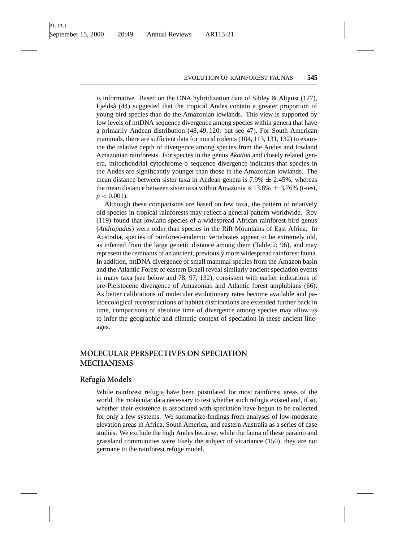is informative. Based on the DNA hybridization data of Sibley & Alquist (127), Fieldså (44) suggested that the tropical Andes contain a greater proportion of young bird species than do the Amazonian lowlands. This view is supported by low levels of mtDNA sequence divergence among species within genera that have a primarily Andean distribution (48, 49, 120; but see 47). For South American mammals, there are sufficient data for murid rodents (104, 113, 131, 132) to examine the relative depth of divergence among species from the Andes and lowland Amazonian rainforests. For species in the genus *Akodon* and closely related genera, mitochondrial cytochrome-b sequence divergence indicates that species in the Andes are significantly younger than those in the Amazonian lowlands. The mean distance between sister taxa in Andean genera is 7.9%  $\pm$  2.45%, whereas the mean distance between sister taxa within Amazonia is  $13.8\% \pm 3.76\%$  (t-test,  $p < 0.001$ ).

Although these comparisons are based on few taxa, the pattern of relatively old species in tropical rainforests may reflect a general pattern worldwide. Roy (119) found that lowland species of a widespread African rainforest bird genus (*Andropadus*) were older than species in the Rift Mountains of East Africa. In Australia, species of rainforest-endemic vertebrates appear to be extremely old, as inferred from the large genetic distance among them (Table 2; 96), and may represent the remnants of an ancient, previously more widespread rainforest fauna. In addition, mtDNA divergence of small mammal species from the Amazon basin and the Atlantic Forest of eastern Brazil reveal similarly ancient speciation events in many taxa (see below and 78, 97, 132), consistent with earlier indications of pre-Pleistocene divergence of Amazonian and Atlantic forest amphibians (66). As better calibrations of molecular evolutionary rates become available and paleoecological reconstructions of habitat distributions are extended further back in time, comparisons of absolute time of divergence among species may allow us to infer the geographic and climatic context of speciation in these ancient lineages.

# **MOLECULAR PERSPECTIVES ON SPECIATION MECHANISMS**

#### **Refugia Models**

While rainforest refugia have been postulated for most rainforest areas of the world, the molecular data necessary to test whether such refugia existed and, if so, whether their existence is associated with speciation have begun to be collected for only a few systems. We summarize findings from analyses of low-moderate elevation areas in Africa, South America, and eastern Australia as a series of case studies. We exclude the high Andes because, while the fauna of these paramo and grassland communities were likely the subject of vicariance (150), they are not germane to the rainforest refuge model.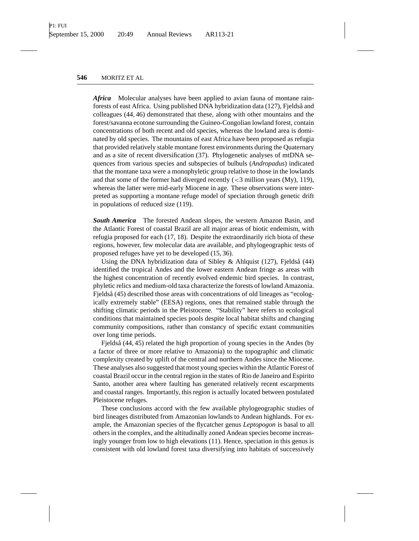*Africa* Molecular analyses have been applied to avian fauna of montane rainforests of east Africa. Using published DNA hybridization data (127), Fjeldså and colleagues (44, 46) demonstrated that these, along with other mountains and the forest/savanna ecotone surrounding the Guineo-Congolian lowland forest, contain concentrations of both recent and old species, whereas the lowland area is dominated by old species. The mountains of east Africa have been proposed as refugia that provided relatively stable montane forest environments during the Quaternary and as a site of recent diversification (37). Phylogenetic analyses of mtDNA sequences from various species and subspecies of bulbuls (*Andropadus*) indicated that the montane taxa were a monophyletic group relative to those in the lowlands and that some of the former had diverged recently  $\left(\langle 3 \rangle \right)$  million years  $\left(\text{My}\right)$ , 119), whereas the latter were mid-early Miocene in age. These observations were interpreted as supporting a montane refuge model of speciation through genetic drift in populations of reduced size (119).

*South America* The forested Andean slopes, the western Amazon Basin, and the Atlantic Forest of coastal Brazil are all major areas of biotic endemism, with refugia proposed for each (17, 18). Despite the extraordinarily rich biota of these regions, however, few molecular data are available, and phylogeographic tests of proposed refuges have yet to be developed (15, 36).

Using the DNA hybridization data of Sibley & Ahlquist (127), Fieldså (44) identified the tropical Andes and the lower eastern Andean fringe as areas with the highest concentration of recently evolved endemic bird species. In contrast, phyletic relics and medium-old taxa characterize the forests of lowland Amazonia. Fieldså (45) described those areas with concentrations of old lineages as "ecologically extremely stable" (EESA) regions, ones that remained stable through the shifting climatic periods in the Pleistocene. "Stability" here refers to ecological conditions that maintained species pools despite local habitat shifts and changing community compositions, rather than constancy of specific extant communities over long time periods.

Fieldså (44, 45) related the high proportion of young species in the Andes (by a factor of three or more relative to Amazonia) to the topographic and climatic complexity created by uplift of the central and northern Andes since the Miocene. These analyses also suggested that most young species within the Atlantic Forest of coastal Brazil occur in the central region in the states of Rio de Janeiro and Espirito Santo, another area where faulting has generated relatively recent escarpments and coastal ranges. Importantly, this region is actually located between postulated Pleistocene refuges.

These conclusions accord with the few available phylogeographic studies of bird lineages distributed from Amazonian lowlands to Andean highlands. For example, the Amazonian species of the flycatcher genus *Leptopogon* is basal to all others in the complex, and the altitudinally zoned Andean species become increasingly younger from low to high elevations (11). Hence, speciation in this genus is consistent with old lowland forest taxa diversifying into habitats of successively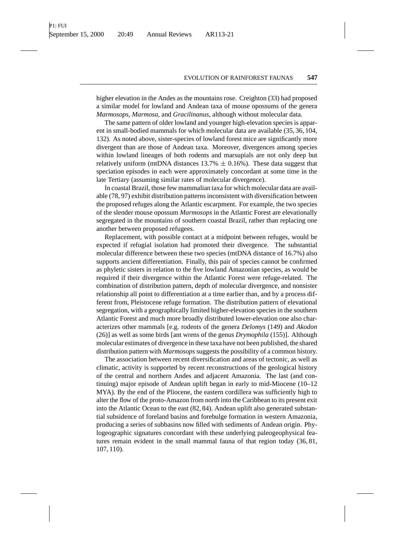higher elevation in the Andes as the mountains rose. Creighton (33) had proposed a similar model for lowland and Andean taxa of mouse opossums of the genera *Marmosops*, *Marmosa*, and *Gracilinanus*, although without molecular data.

The same pattern of older lowland and younger high-elevation species is apparent in small-bodied mammals for which molecular data are available (35, 36, 104, 132). As noted above, sister-species of lowland forest mice are significantly more divergent than are those of Andean taxa. Moreover, divergences among species within lowland lineages of both rodents and marsupials are not only deep but relatively uniform (mtDNA distances  $13.7\% \pm 0.16\%$ ). These data suggest that speciation episodes in each were approximately concordant at some time in the late Tertiary (assuming similar rates of molecular divergence).

In coastal Brazil, those few mammalian taxa for which molecular data are available (78, 97) exhibit distribution patterns inconsistent with diversification between the proposed refuges along the Atlantic escarpment. For example, the two species of the slender mouse opossum *Marmosops* in the Atlantic Forest are elevationally segregated in the mountains of southern coastal Brazil, rather than replacing one another between proposed refugees.

Replacement, with possible contact at a midpoint between refuges, would be expected if refugial isolation had promoted their divergence. The substantial molecular difference between these two species (mtDNA distance of 16.7%) also supports ancient differentiation. Finally, this pair of species cannot be confirmed as phyletic sisters in relation to the five lowland Amazonian species, as would be required if their divergence within the Atlantic Forest were refuge-related. The combination of distribution pattern, depth of molecular divergence, and nonsister relationship all point to differentiation at a time earlier than, and by a process different from, Pleistocene refuge formation. The distribution pattern of elevational segregation, with a geographically limited higher-elevation species in the southern Atlantic Forest and much more broadly distributed lower-elevation one also characterizes other mammals [e.g. rodents of the genera *Delomys* (149) and *Akodon* (26)] as well as some birds [ant wrens of the genus *Drymophila* (155)]. Although molecular estimates of divergence in these taxa have not been published, the shared distribution pattern with *Marmosops* suggests the possibility of a common history.

The association between recent diversification and areas of tectonic, as well as climatic, activity is supported by recent reconstructions of the geological history of the central and northern Andes and adjacent Amazonia. The last (and continuing) major episode of Andean uplift began in early to mid-Miocene (10–12 MYA). By the end of the Pliocene, the eastern cordillera was sufficiently high to alter the flow of the proto-Amazon from north into the Caribbean to its present exit into the Atlantic Ocean to the east (82, 84). Andean uplift also generated substantial subsidence of foreland basins and forebulge formation in western Amazonia, producing a series of subbasins now filled with sediments of Andean origin. Phylogeographic signatures concordant with these underlying paleogeophysical features remain evident in the small mammal fauna of that region today (36, 81, 107, 110).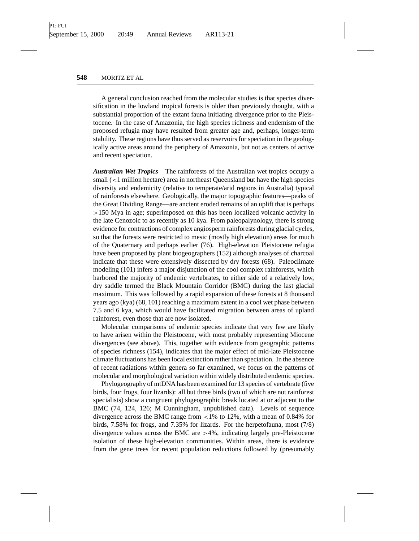A general conclusion reached from the molecular studies is that species diversification in the lowland tropical forests is older than previously thought, with a substantial proportion of the extant fauna initiating divergence prior to the Pleistocene. In the case of Amazonia, the high species richness and endemism of the proposed refugia may have resulted from greater age and, perhaps, longer-term stability. These regions have thus served as reservoirs for speciation in the geologically active areas around the periphery of Amazonia, but not as centers of active and recent speciation.

*Australian Wet Tropics* The rainforests of the Australian wet tropics occupy a small (<1 million hectare) area in northeast Queensland but have the high species diversity and endemicity (relative to temperate/arid regions in Australia) typical of rainforests elsewhere. Geologically, the major topographic features—peaks of the Great Dividing Range—are ancient eroded remains of an uplift that is perhaps >150 Mya in age; superimposed on this has been localized volcanic activity in the late Cenozoic to as recently as 10 kya. From paleopalynology, there is strong evidence for contractions of complex angiosperm rainforests during glacial cycles, so that the forests were restricted to mesic (mostly high elevation) areas for much of the Quaternary and perhaps earlier (76). High-elevation Pleistocene refugia have been proposed by plant biogeographers (152) although analyses of charcoal indicate that these were extensively dissected by dry forests (68). Paleoclimate modeling (101) infers a major disjunction of the cool complex rainforests, which harbored the majority of endemic vertebrates, to either side of a relatively low, dry saddle termed the Black Mountain Corridor (BMC) during the last glacial maximum. This was followed by a rapid expansion of these forests at 8 thousand years ago (kya) (68, 101) reaching a maximum extent in a cool wet phase between 7.5 and 6 kya, which would have facilitated migration between areas of upland rainforest, even those that are now isolated.

Molecular comparisons of endemic species indicate that very few are likely to have arisen within the Pleistocene, with most probably representing Miocene divergences (see above). This, together with evidence from geographic patterns of species richness (154), indicates that the major effect of mid-late Pleistocene climate fluctuations has been local extinction rather than speciation. In the absence of recent radiations within genera so far examined, we focus on the patterns of molecular and morphological variation within widely distributed endemic species.

Phylogeography of mtDNA has been examined for 13 species of vertebrate (five birds, four frogs, four lizards): all but three birds (two of which are not rainforest specialists) show a congruent phylogeographic break located at or adjacent to the BMC (74, 124, 126; M Cunningham, unpublished data). Levels of sequence divergence across the BMC range from  $\langle 1\% 12\% 12\% 124\% 124\% 124\% 124\% 125\% 125\% 126\% 127\% 128\% 129\% 129\% 129\% 129\% 129\% 129\% 129\% 129\% 129\% 129\% 129\% 129\% 129\% 129\% 129\% 129\% 129\% 129\% 129\$ birds, 7.58% for frogs, and 7.35% for lizards. For the herpetofauna, most (7/8) divergence values across the BMC are >4%, indicating largely pre-Pleistocene isolation of these high-elevation communities. Within areas, there is evidence from the gene trees for recent population reductions followed by (presumably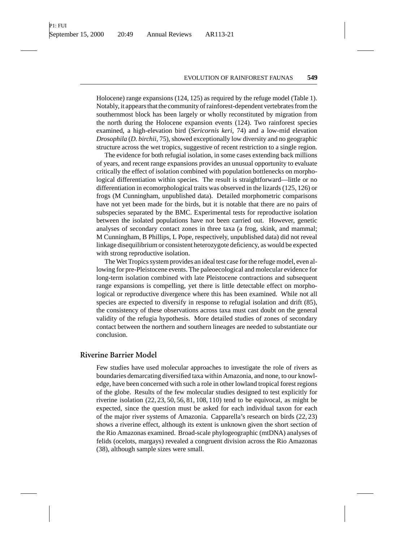Holocene) range expansions (124, 125) as required by the refuge model (Table 1). Notably, it appears that the community of rainforest-dependent vertebrates from the southernmost block has been largely or wholly reconstituted by migration from the north during the Holocene expansion events (124). Two rainforest species examined, a high-elevation bird (*Sericornis keri*, 74) and a low-mid elevation *Drosophila* (*D. birchii*, 75), showed exceptionally low diversity and no geographic structure across the wet tropics, suggestive of recent restriction to a single region.

The evidence for both refugial isolation, in some cases extending back millions of years, and recent range expansions provides an unusual opportunity to evaluate critically the effect of isolation combined with population bottlenecks on morphological differentiation within species. The result is straightforward—little or no differentiation in ecomorphological traits was observed in the lizards (125, 126) or frogs (M Cunningham, unpublished data). Detailed morphometric comparisons have not yet been made for the birds, but it is notable that there are no pairs of subspecies separated by the BMC. Experimental tests for reproductive isolation between the isolated populations have not been carried out. However, genetic analyses of secondary contact zones in three taxa (a frog, skink, and mammal; M Cunningham, B Phillips, L Pope, respectively, unpublished data) did not reveal linkage disequilibrium or consistent heterozygote deficiency, as would be expected with strong reproductive isolation.

The Wet Tropics system provides an ideal test case for the refuge model, even allowing for pre-Pleistocene events. The paleoecological and molecular evidence for long-term isolation combined with late Pleistocene contractions and subsequent range expansions is compelling, yet there is little detectable effect on morphological or reproductive divergence where this has been examined. While not all species are expected to diversify in response to refugial isolation and drift (85), the consistency of these observations across taxa must cast doubt on the general validity of the refugia hypothesis. More detailed studies of zones of secondary contact between the northern and southern lineages are needed to substantiate our conclusion.

# **Riverine Barrier Model**

Few studies have used molecular approaches to investigate the role of rivers as boundaries demarcating diversified taxa within Amazonia, and none, to our knowledge, have been concerned with such a role in other lowland tropical forest regions of the globe. Results of the few molecular studies designed to test explicitly for riverine isolation  $(22, 23, 50, 56, 81, 108, 110)$  tend to be equivocal, as might be expected, since the question must be asked for each individual taxon for each of the major river systems of Amazonia. Capparella's research on birds (22, 23) shows a riverine effect, although its extent is unknown given the short section of the Rio Amazonas examined. Broad-scale phylogeographic (mtDNA) analyses of felids (ocelots, margays) revealed a congruent division across the Rio Amazonas (38), although sample sizes were small.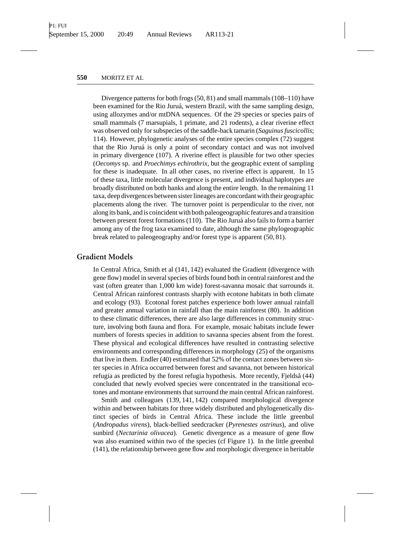Divergence patterns for both frogs (50, 81) and small mammals (108–110) have been examined for the Rio Juruá, western Brazil, with the same sampling design, using allozymes and/or mtDNA sequences. Of the 29 species or species pairs of small mammals (7 marsupials, 1 primate, and 21 rodents), a clear riverine effect was observed only for subspecies of the saddle-back tamarin (*Saguinus fuscicollis*; 114). However, phylogenetic analyses of the entire species complex (72) suggest that the Rio Juruá is only a point of secondary contact and was not involved in primary divergence (107). A riverine effect is plausible for two other species (*Oecomys* sp. and *Proechimys echirothrix*, but the geographic extent of sampling for these is inadequate. In all other cases, no riverine effect is apparent. In 15 of these taxa, little molecular divergence is present, and individual haplotypes are broadly distributed on both banks and along the entire length. In the remaining 11 taxa, deep divergences between sister lineages are concordant with their geographic placements along the river. The turnover point is perpendicular to the river, not along its bank, and is coincident with both paleogeographic features and a transition between present forest formations (110). The Rio Juruá also fails to form a barrier among any of the frog taxa examined to date, although the same phylogeographic break related to paleogeography and/or forest type is apparent (50, 81).

### **Gradient Models**

In Central Africa, Smith et al (141, 142) evaluated the Gradient (divergence with gene flow) model in several species of birds found both in central rainforest and the vast (often greater than 1,000 km wide) forest-savanna mosaic that surrounds it. Central African rainforest contrasts sharply with ecotone habitats in both climate and ecology (93). Ecotonal forest patches experience both lower annual rainfall and greater annual variation in rainfall than the main rainforest (80). In addition to these climatic differences, there are also large differences in community structure, involving both fauna and flora. For example, mosaic habitats include fewer numbers of forests species in addition to savanna species absent from the forest. These physical and ecological differences have resulted in contrasting selective environments and corresponding differences in morphology (25) of the organisms that live in them. Endler (40) estimated that 52% of the contact zones between sister species in Africa occurred between forest and savanna, not between historical refugia as predicted by the forest refugia hypothesis. More recently, Fjeldså (44) concluded that newly evolved species were concentrated in the transitional ecotones and montane environments that surround the main central African rainforest.

Smith and colleagues (139, 141, 142) compared morphological divergence within and between habitats for three widely distributed and phylogenetically distinct species of birds in Central Africa. These include the little greenbul (*Andropadus virens*), black-bellied seedcracker (*Pyrenestes ostrinus*), and olive sunbird (*Nectarinia olivacea*). Genetic divergence as a measure of gene flow was also examined within two of the species (cf Figure 1). In the little greenbul (141), the relationship between gene flow and morphologic divergence in heritable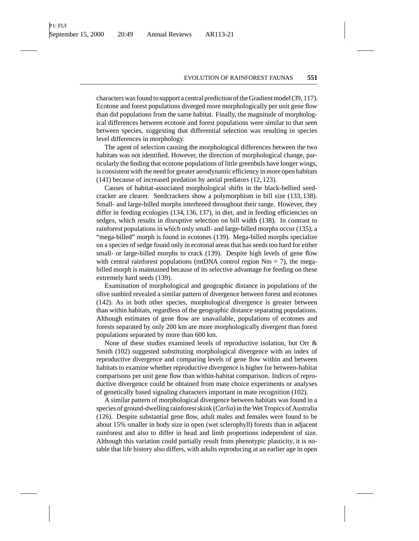characters was found to support a central prediction of the Gradient model (39, 117). Ecotone and forest populations diverged more morphologically per unit gene flow than did populations from the same habitat. Finally, the magnitude of morphological differences between ecotone and forest populations were similar to that seen between species, suggesting that differential selection was resulting in species level differences in morphology.

The agent of selection causing the morphological differences between the two habitats was not identified. However, the direction of morphological change, particularly the finding that ecotone populations of little greenbuls have longer wings, is consistent with the need for greater aerodynamic efficiency in more open habitats (141) because of increased predation by aerial predators (12, 123).

Causes of habitat-associated morphological shifts in the black-bellied seedcracker are clearer. Seedcrackers show a polymorphism in bill size (133, 138). Small- and large-billed morphs interbreed throughout their range. However, they differ in feeding ecologies (134, 136, 137), in diet, and in feeding efficiencies on sedges, which results in disruptive selection on bill width (138). In contrast to rainforest populations in which only small- and large-billed morphs occur (135), a "mega-billed" morph is found in ecotones (139). Mega-billed morphs specialize on a species of sedge found only in ecotonal areas that has seeds too hard for either small- or large-billed morphs to crack (139). Despite high levels of gene flow with central rainforest populations (mtDNA control region  $Nm = 7$ ), the megabilled morph is maintained because of its selective advantage for feeding on these extremely hard seeds (139).

Examination of morphological and geographic distance in populations of the olive sunbird revealed a similar pattern of divergence between forest and ecotones (142). As in both other species, morphological divergence is greater between than within habitats, regardless of the geographic distance separating populations. Although estimates of gene flow are unavailable, populations of ecotones and forests separated by only 200 km are more morphologically divergent than forest populations separated by more than 600 km.

None of these studies examined levels of reproductive isolation, but Orr & Smith (102) suggested substituting morphological divergence with an index of reproductive divergence and comparing levels of gene flow within and between habitats to examine whether reproductive divergence is higher for between-habitat comparisons per unit gene flow than within-habitat comparison. Indices of reproductive divergence could be obtained from mate choice experiments or analyses of genetically based signaling characters important in mate recognition (102).

A similar pattern of morphological divergence between habitats was found in a species of ground-dwelling rainforest skink (*Carlia*) in the Wet Tropics of Australia (126). Despite substantial gene flow, adult males and females were found to be about 15% smaller in body size in open (wet sclerophyll) forests than in adjacent rainforest and also to differ in head and limb proportions independent of size. Although this variation could partially result from phenotypic plasticity, it is notable that life history also differs, with adults reproducing at an earlier age in open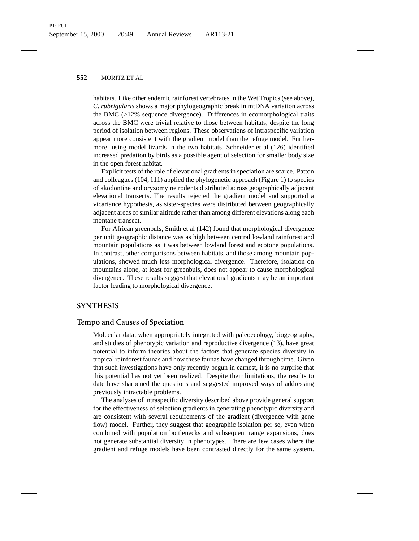habitats. Like other endemic rainforest vertebrates in the Wet Tropics (see above), *C. rubrigularis* shows a major phylogeographic break in mtDNA variation across the BMC (>12% sequence divergence). Differences in ecomorphological traits across the BMC were trivial relative to those between habitats, despite the long period of isolation between regions. These observations of intraspecific variation appear more consistent with the gradient model than the refuge model. Furthermore, using model lizards in the two habitats, Schneider et al (126) identified increased predation by birds as a possible agent of selection for smaller body size in the open forest habitat.

Explicit tests of the role of elevational gradients in speciation are scarce. Patton and colleagues (104, 111) applied the phylogenetic approach (Figure 1) to species of akodontine and oryzomyine rodents distributed across geographically adjacent elevational transects. The results rejected the gradient model and supported a vicariance hypothesis, as sister-species were distributed between geographically adjacent areas of similar altitude rather than among different elevations along each montane transect.

For African greenbuls, Smith et al (142) found that morphological divergence per unit geographic distance was as high between central lowland rainforest and mountain populations as it was between lowland forest and ecotone populations. In contrast, other comparisons between habitats, and those among mountain populations, showed much less morphological divergence. Therefore, isolation on mountains alone, at least for greenbuls, does not appear to cause morphological divergence. These results suggest that elevational gradients may be an important factor leading to morphological divergence.

# **SYNTHESIS**

#### **Tempo and Causes of Speciation**

Molecular data, when appropriately integrated with paleoecology, biogeography, and studies of phenotypic variation and reproductive divergence (13), have great potential to inform theories about the factors that generate species diversity in tropical rainforest faunas and how these faunas have changed through time. Given that such investigations have only recently begun in earnest, it is no surprise that this potential has not yet been realized. Despite their limitations, the results to date have sharpened the questions and suggested improved ways of addressing previously intractable problems.

The analyses of intraspecific diversity described above provide general support for the effectiveness of selection gradients in generating phenotypic diversity and are consistent with several requirements of the gradient (divergence with gene flow) model. Further, they suggest that geographic isolation per se, even when combined with population bottlenecks and subsequent range expansions, does not generate substantial diversity in phenotypes. There are few cases where the gradient and refuge models have been contrasted directly for the same system.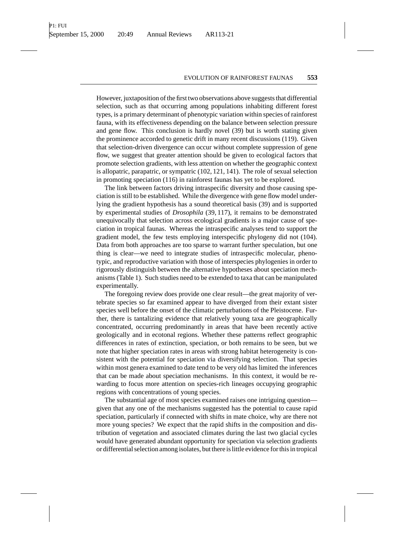However, juxtaposition of the first two observations above suggests that differential selection, such as that occurring among populations inhabiting different forest types, is a primary determinant of phenotypic variation within species of rainforest fauna, with its effectiveness depending on the balance between selection pressure and gene flow. This conclusion is hardly novel (39) but is worth stating given the prominence accorded to genetic drift in many recent discussions (119). Given that selection-driven divergence can occur without complete suppression of gene flow, we suggest that greater attention should be given to ecological factors that promote selection gradients, with less attention on whether the geographic context is allopatric, parapatric, or sympatric (102, 121, 141). The role of sexual selection in promoting speciation (116) in rainforest faunas has yet to be explored.

The link between factors driving intraspecific diversity and those causing speciation is still to be established. While the divergence with gene flow model underlying the gradient hypothesis has a sound theoretical basis (39) and is supported by experimental studies of *Drosophila* (39, 117), it remains to be demonstrated unequivocally that selection across ecological gradients is a major cause of speciation in tropical faunas. Whereas the intraspecific analyses tend to support the gradient model, the few tests employing interspecific phylogeny did not (104). Data from both approaches are too sparse to warrant further speculation, but one thing is clear—we need to integrate studies of intraspecific molecular, phenotypic, and reproductive variation with those of interspecies phylogenies in order to rigorously distinguish between the alternative hypotheses about speciation mechanisms (Table 1). Such studies need to be extended to taxa that can be manipulated experimentally.

The foregoing review does provide one clear result—the great majority of vertebrate species so far examined appear to have diverged from their extant sister species well before the onset of the climatic perturbations of the Pleistocene. Further, there is tantalizing evidence that relatively young taxa are geographically concentrated, occurring predominantly in areas that have been recently active geologically and in ecotonal regions. Whether these patterns reflect geographic differences in rates of extinction, speciation, or both remains to be seen, but we note that higher speciation rates in areas with strong habitat heterogeneity is consistent with the potential for speciation via diversifying selection. That species within most genera examined to date tend to be very old has limited the inferences that can be made about speciation mechanisms. In this context, it would be rewarding to focus more attention on species-rich lineages occupying geographic regions with concentrations of young species.

The substantial age of most species examined raises one intriguing question given that any one of the mechanisms suggested has the potential to cause rapid speciation, particularly if connected with shifts in mate choice, why are there not more young species? We expect that the rapid shifts in the composition and distribution of vegetation and associated climates during the last two glacial cycles would have generated abundant opportunity for speciation via selection gradients or differential selection among isolates, but there is little evidence for this in tropical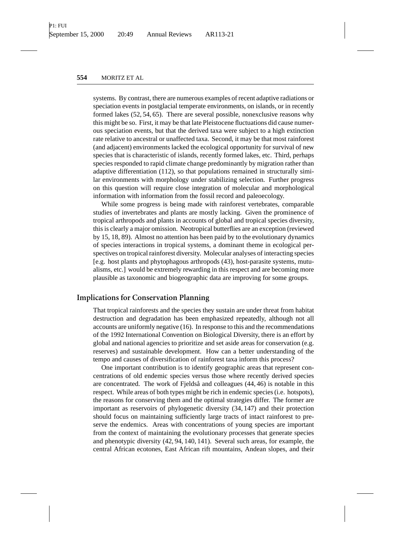systems. By contrast, there are numerous examples of recent adaptive radiations or speciation events in postglacial temperate environments, on islands, or in recently formed lakes (52, 54, 65). There are several possible, nonexclusive reasons why this might be so. First, it may be that late Pleistocene fluctuations did cause numerous speciation events, but that the derived taxa were subject to a high extinction rate relative to ancestral or unaffected taxa. Second, it may be that most rainforest (and adjacent) environments lacked the ecological opportunity for survival of new species that is characteristic of islands, recently formed lakes, etc. Third, perhaps species responded to rapid climate change predominantly by migration rather than adaptive differentiation (112), so that populations remained in structurally similar environments with morphology under stabilizing selection. Further progress on this question will require close integration of molecular and morphological information with information from the fossil record and paleoecology.

While some progress is being made with rainforest vertebrates, comparable studies of invertebrates and plants are mostly lacking. Given the prominence of tropical arthropods and plants in accounts of global and tropical species diversity, this is clearly a major omission. Neotropical butterflies are an exception (reviewed by 15, 18, 89). Almost no attention has been paid by to the evolutionary dynamics of species interactions in tropical systems, a dominant theme in ecological perspectives on tropical rainforest diversity. Molecular analyses of interacting species [e.g. host plants and phytophagous arthropods (43), host-parasite systems, mutualisms, etc.] would be extremely rewarding in this respect and are becoming more plausible as taxonomic and biogeographic data are improving for some groups.

# **Implications for Conservation Planning**

That tropical rainforests and the species they sustain are under threat from habitat destruction and degradation has been emphasized repeatedly, although not all accounts are uniformly negative (16). In response to this and the recommendations of the 1992 International Convention on Biological Diversity, there is an effort by global and national agencies to prioritize and set aside areas for conservation (e.g. reserves) and sustainable development. How can a better understanding of the tempo and causes of diversification of rainforest taxa inform this process?

One important contribution is to identify geographic areas that represent concentrations of old endemic species versus those where recently derived species are concentrated. The work of Fjeldså and colleagues (44, 46) is notable in this respect. While areas of both types might be rich in endemic species (i.e. hotspots), the reasons for conserving them and the optimal strategies differ. The former are important as reservoirs of phylogenetic diversity (34, 147) and their protection should focus on maintaining sufficiently large tracts of intact rainforest to preserve the endemics. Areas with concentrations of young species are important from the context of maintaining the evolutionary processes that generate species and phenotypic diversity (42, 94, 140, 141). Several such areas, for example, the central African ecotones, East African rift mountains, Andean slopes, and their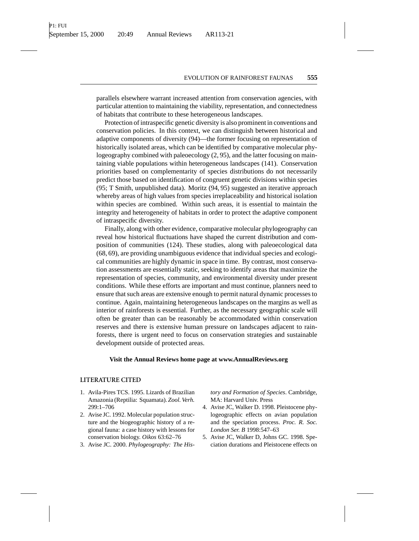parallels elsewhere warrant increased attention from conservation agencies, with particular attention to maintaining the viability, representation, and connectedness of habitats that contribute to these heterogeneous landscapes.

Protection of intraspecific genetic diversity is also prominent in conventions and conservation policies. In this context, we can distinguish between historical and adaptive components of diversity (94)—the former focusing on representation of historically isolated areas, which can be identified by comparative molecular phylogeography combined with paleoecology (2, 95), and the latter focusing on maintaining viable populations within heterogeneous landscapes (141). Conservation priorities based on complementarity of species distributions do not necessarily predict those based on identification of congruent genetic divisions within species (95; T Smith, unpublished data). Moritz (94, 95) suggested an iterative approach whereby areas of high values from species irreplaceability and historical isolation within species are combined. Within such areas, it is essential to maintain the integrity and heterogeneity of habitats in order to protect the adaptive component of intraspecific diversity.

Finally, along with other evidence, comparative molecular phylogeography can reveal how historical fluctuations have shaped the current distribution and composition of communities (124). These studies, along with paleoecological data (68, 69), are providing unambiguous evidence that individual species and ecological communities are highly dynamic in space in time. By contrast, most conservation assessments are essentially static, seeking to identify areas that maximize the representation of species, community, and environmental diversity under present conditions. While these efforts are important and must continue, planners need to ensure that such areas are extensive enough to permit natural dynamic processes to continue. Again, maintaining heterogeneous landscapes on the margins as well as interior of rainforests is essential. Further, as the necessary geographic scale will often be greater than can be reasonably be accommodated within conservation reserves and there is extensive human pressure on landscapes adjacent to rainforests, there is urgent need to focus on conservation strategies and sustainable development outside of protected areas.

#### **Visit the Annual Reviews home page at www.AnnualReviews.org**

#### **LITERATURE CITED**

- 1. Avila-Pires TCS. 1995. Lizards of Brazilian Amazonia (Reptilia: Squamata). *Zool. Verh.* 299:1–706
- 2. Avise JC. 1992. Molecular population structure and the biogeographic history of a regional fauna: a case history with lessons for conservation biology. *Oikos* 63:62–76
- 3. Avise JC. 2000. *Phylogeography: The His-*

*tory and Formation of Species*. Cambridge, MA: Harvard Univ. Press

- 4. Avise JC, Walker D. 1998. Pleistocene phylogeographic effects on avian population and the speciation process. *Proc. R. Soc. London Ser. B* 1998:547–63
- 5. Avise JC, Walker D, Johns GC. 1998. Speciation durations and Pleistocene effects on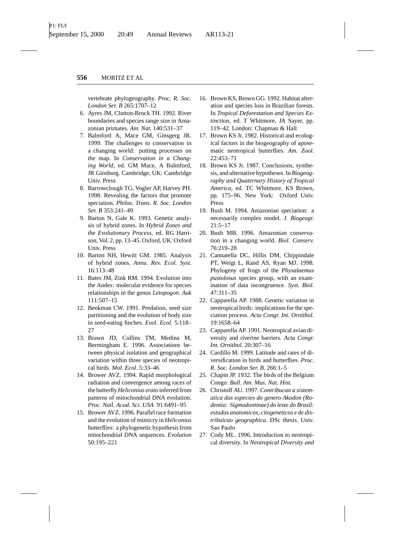vertebrate phylogeography. *Proc. R. Soc. London Ser. B* 265:1707–12

- 6. Ayres JM, Clutton-Brock TH. 1992. River boundaries and species range size in Amazonian primates. *Am. Nat.* 140:531–37
- 7. Balmford A, Mace GM, Ginsgerg JR. 1999. The challenges to conservation in a changing world: putting processes on the map. In *Conservation in a Changing World*, ed. GM Mace, A Balmford, JR Ginsburg. Cambridge, UK: Cambridge Univ. Press
- 8. Barrowclough TG, Vogler AP, Harvey PH. 1998. Revealing the factors that promote speciation. *Philos. Trans. R. Soc. London Ser. B* 353:241–49
- 9. Barton N, Gale K. 1993. Genetic analysis of hybrid zones. In *Hybrid Zones and the Evolutionary Process*, ed. RG Harrison, Vol. 2, pp. 13–45. Oxford, UK: Oxford Univ. Press
- 10. Barton NH, Hewitt GM. 1985. Analysis of hybrid zones. *Annu. Rev. Ecol. Syst.* 16:113–48
- 11. Bates JM, Zink RM. 1994. Evolution into the Andes: molecular evidence for species relationships in the genus *Letopogon*. *Auk* 111:507–15
- 12. Benkman CW. 1991. Predation, seed size partitioning and the evolution of body size in seed-eating finches. *Evol. Ecol.* 5:118– 27
- 13. Brawn JD, Collins TM, Medina M, Bermingham E. 1996. Associations between physical isolation and geographical variation within three species of neotropical birds. *Mol. Ecol.* 5:33–46
- 14. Brower AVZ. 1994. Rapid morphological radiation and convergence among races of the butterfly *Heliconius erato* inferred from patterns of mitochondrial DNA evolution. *Proc. Natl. Acad. Sci. USA* 91:6491–95
- 15. Brower AVZ. 1996. Parallel race formation and the evolution of mimicry in *Heliconius* butterflies: a phylogenetic hypothesis from mitochondrial DNA sequences. *Evolution* 50:195–221
- 16. Brown KS, Brown GG. 1992. Habitat alteration and species loss in Brazilian forests. In *Tropical Deforestation and Species Extinction*, ed. T Whitmore, JA Sayer, pp. 119–42. London: Chapman & Hall
- 17. Brown KS Jr. 1982. Historical and ecological factors in the biogeography of aposematic neotropical butterflies. *Am. Zool.* 22:453–71
- 18. Brown KS Jr. 1987. Conclusions, synthesis, and alternative hypotheses. In*Biogeography and Quaternary History of Tropical America*, ed. TC Whitmore, KS Brown, pp. 175–96. New York: Oxford Univ. Press
- 19. Bush M. 1994. Amazonian speciation: a necessarily complex model. *J. Biogeogr.* 21:5–17
- 20. Bush MB. 1996. Amazonian conservation in a changing world. *Biol. Conserv.* 76:219–28
- 21. Cannatella DC, Hillis DM, Chippindale PT, Weigt L, Rand AS, Ryan MJ. 1998. Phylogeny of frogs of the *Physalaemus pustolosus* species group, with an examination of data incongruence. *Syst. Biol.* 47:311–35
- 22. Capparella AP. 1988. Genetic variation in neotropical birds: implications for the speciation process. *Acta Congr. Int. Ornithol.* 19:1658–64
- 23. Capparella AP. 1991. Neotropical avian diversity and riverine barriers. *Acta Congr. Int. Ornithol.* 20:307–16
- 24. Cardillo M. 1999. Latitude and rates of diversification in birds and butterflies. *Proc. R. Soc. London Ser. B.* 266:1–5
- 25. Chapin JP. 1932. The birds of the Belgium Congo. *Bull. Am. Mus. Nat. Hist.*
- 26. Christoff AU. 1997. *Contribucao a sistematica das especies do genero Akodon (Rodentia: Sigmodontinae) do leste do Brasil: estudos anatomicos, citogeneticos e de distribuicao geographica*. DSc thesis. Univ. Sao Paulo
- 27. Cody ML. 1996. Introduction to neotropical diversity. In *Neotropical Diversity and*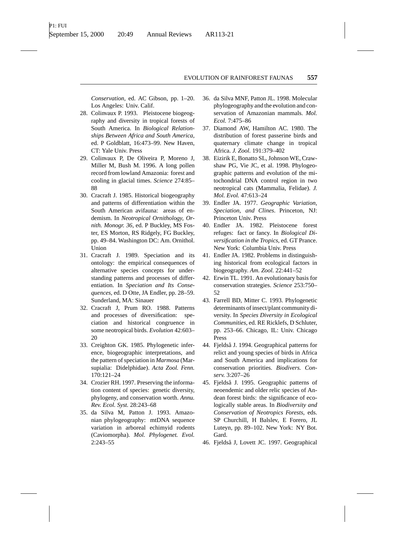*Conservation*, ed. AC Gibson, pp. 1–20. Los Angeles: Univ. Calif.

- 28. Colinvaux P. 1993. Pleistocene biogeography and diversity in tropical forests of South America. In *Biological Relationships Between Africa and South America*, ed. P Goldblatt, 16:473–99. New Haven, CT: Yale Univ. Press
- 29. Colinvaux P, De Oliveira P, Moreno J, Miller M, Bush M. 1996. A long pollen record from lowland Amazonia: forest and cooling in glacial times. *Science* 274:85– 88
- 30. Cracraft J. 1985. Historical biogeography and patterns of differentiation within the South American avifauna: areas of endemism. In *Neotropical Ornithology, Ornith. Monogr. 36*, ed. P Buckley, MS Foster, ES Morton, RS Ridgely, FG Buckley, pp. 49–84. Washington DC: Am. Ornithol. Union
- 31. Cracraft J. 1989. Speciation and its ontology: the empirical consequences of alternative species concepts for understanding patterns and processes of differentiation. In *Speciation and Its Consequences*, ed. D Otte, JA Endler, pp. 28–59. Sunderland, MA: Sinauer
- 32. Cracraft J, Prum RO. 1988. Patterns and processes of diversification: speciation and historical congruence in some neotropical birds. *Evolution* 42:603– 20
- 33. Creighton GK. 1985. Phylogenetic inference, biogeographic interpretations, and the pattern of speciation in *Marmosa* (Marsupialia: Didelphidae). *Acta Zool. Fenn.* 170:121–24
- 34. Crozier RH. 1997. Preserving the information content of species: genetic diversity, phylogeny, and conservation worth. *Annu. Rev. Ecol. Syst.* 28:243–68
- 35. da Silva M, Patton J. 1993. Amazonian phylogeography: mtDNA sequence variation in arboreal echimyid rodents (Caviomorpha). *Mol. Phylogenet. Evol.* 2:243–55
- 36. da Silva MNF, Patton JL. 1998. Molecular phylogeography and the evolution and conservation of Amazonian mammals. *Mol. Ecol.* 7:475–86
- 37. Diamond AW, Hamilton AC. 1980. The distribution of forest passerine birds and quaternary climate change in tropical Africa. *J. Zool.* 191:379–402
- 38. Eizirik E, Bonatto SL, Johnson WE, Crawshaw PG, Vie JC, et al. 1998. Phylogeographic patterns and evolution of the mitochondrial DNA control region in two neotropical cats (Mammalia, Felidae). *J. Mol. Evol.* 47:613–24
- 39. Endler JA. 1977. *Geographic Variation, Speciation, and Clines*. Princeton, NJ: Princeton Univ. Press
- 40. Endler JA. 1982. Pleistocene forest refuges: fact or fancy. In *Biological Diversification in the Tropics*, ed. GT Prance. New York: Columbia Univ. Press
- 41. Endler JA. 1982. Problems in distinguishing historical from ecological factors in biogeography. *Am. Zool.* 22:441–52
- 42. Erwin TL. 1991. An evolutionary basis for conservation strategies. *Science* 253:750– 52
- 43. Farrell BD, Mitter C. 1993. Phylogenetic determinants of insect/plant community diversity. In *Species Diversity in Ecological Communities*, ed. RE Ricklefs, D Schluter, pp. 253–66. Chicago, IL: Univ. Chicago Press
- 44. Fjeldså J. 1994. Geographical patterns for relict and young species of birds in Africa and South America and implications for conservation priorities. *Biodivers. Conserv.* 3:207–26
- 45. Fjeldså J. 1995. Geographic patterns of neoendemic and older relic species of Andean forest birds: the significance of ecologically stable areas. In *Biodiversity and Conservation of Neotropics Forests*, eds. SP Churchill, H Balslev, E Forero, JL Luteyn, pp. 89–102. New York: NY Bot. Gard.
- 46. Fjeldså J, Lovett JC. 1997. Geographical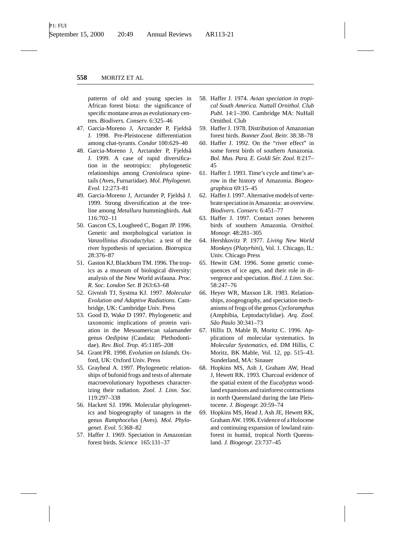patterns of old and young species in African forest biota: the significance of specific montane areas as evolutionary centres. *Biodivers. Conserv.* 6:325–46

- 47. Garcia-Moreno J, Arctander P, Fjeldså J. 1998. Pre-Pleistocene differentiation among chat-tyrants. *Condor* 100:629–40
- 48. Garcia-Moreno J, Arctander P, Fjeldså J. 1999. A case of rapid diversification in the neotropics: phylogenetic relationships among *Cranioleuca* spinetails (Aves, Furnariidae). *Mol. Phylogenet. Evol.* 12:273–81
- 49. Garcia-Moreno J, Arctander P, Fjeldså J. 1999. Strong diversification at the treeline among *Metallura* hummingbirds. *Auk* 116:702–11
- 50. Gascon CS, Lougheed C, Bogart JP. 1996. Genetic and morphological variation in *Vanzollinius discodactylus*: a test of the river hypothesis of speciation. *Biotropica* 28:376–87
- 51. Gaston KJ, Blackburn TM. 1996. The tropics as a museum of biological diversity: analysis of the New World avifauna. *Proc. R. Soc. London Ser. B* 263:63–68
- 52. Givnish TJ, Systma KJ. 1997. *Molecular Evolution and Adaptive Radiations.* Cambridge, UK: Cambridge Univ. Press
- 53. Good D, Wake D 1997. Phylogenetic and taxonomic implications of protein variation in the Mesoamerican salamander genus *Oedipina* (Caudata: Plethodontidae). *Rev. Biol. Trop.* 45:1185–208
- 54. Grant PR. 1998. *Evolution on Islands.* Oxford, UK: Oxford Univ. Press
- 55. Graybeal A. 1997. Phylogenetic relationships of bufonid frogs and tests of alternate macroevolutionary hypotheses characterizing their radiation. *Zool. J. Linn. Soc.* 119:297–338
- 56. Hackett SJ. 1996. Molecular phylogenetics and biogeography of tanagers in the genus *Ramphocelus* (Aves). *Mol. Phylogenet. Evol.* 5:368–82
- 57. Haffer J. 1969. Speciation in Amazonian forest birds. *Science* 165:131–37
- 58. Haffer J. 1974. *Avian speciation in tropical South America. Nuttall Ornithol. Club Publ.* 14:1–390. Cambridge MA: NuHall Ornithol. Club
- 59. Haffer J. 1978. Distribution of Amazonian forest birds. *Bonner Zool. Beitr.* 38:38–78
- 60. Haffer J. 1992. On the "river effect" in some forest birds of southern Amazonia. *Bol. Mus. Para. E. Goldi Ser. Zool. ´* 8:217– 45
- 61. Haffer J. 1993. Time's cycle and time's arrow in the history of Amazonia. *Biogeographica* 69:15–45
- 62. Haffer J. 1997. Alternative models of vertebrate speciation in Amazonia: an overview. *Biodivers. Conserv.* 6:451–77
- 63. Haffer J. 1997. Contact zones between birds of southern Amazonia. *Ornithol. Monogr.* 48:281–305
- 64. Hershkovitz P. 1977. *Living New World Monkeys* (*Platyrhini*), Vol. 1. Chicago, IL: Univ. Chicago Press
- 65. Hewitt GM. 1996. Some genetic consequences of ice ages, and their role in divergence and speciation. *Biol. J. Linn. Soc.* 58:247–76
- 66. Heyer WR, Maxson LR. 1983. Relationships, zoogeography, and speciation mechanisms of frogs of the genus *Cycloramphus* (Amphibia, Leptodactylidae). *Arq. Zool. Sao Paulo ˜* 30:341–73
- 67. Hillis D, Mable B, Moritz C. 1996. Applications of molecular systematics. In *Molecular Systematics*, ed. DM Hillis, C Moritz, BK Mable, Vol. 12, pp. 515–43. Sunderland, MA: Sinauer
- 68. Hopkins MS, Ash J, Graham AW, Head J, Hewett RK. 1993. Charcoal evidence of the spatial extent of the *Eucalyptus* woodland expansions and rainforest contractions in north Queensland during the late Pleistocene. *J. Biogeogr.* 20:59–74
- 69. Hopkins MS, Head J, Ash JE, Hewett RK, Graham AW. 1996. Evidence of a Holocene and continuing expansion of lowland rainforest in humid, tropical North Queensland. *J. Biogeogr.* 23:737–45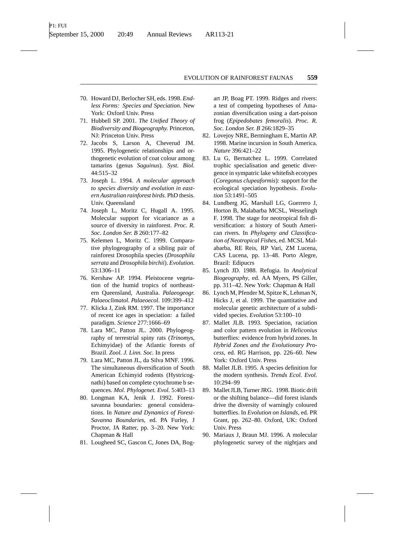- 70. Howard DJ, Berlocher SH, eds. 1998. *Endless Forms: Species and Speciation.* New York: Oxford Univ. Press
- 71. Hubbell SP. 2001. *The Unified Theory of Biodiversity and Biogeography.* Princeton, NJ: Princeton Univ. Press
- 72. Jacobs S, Larson A, Cheverud JM. 1995. Phylogenetic relationships and orthogenetic evolution of coat colour among tamarins (genus *Saguinus*). *Syst. Biol.* 44:515–32
- 73. Joseph L. 1994. *A molecular approach to species diversity and evolution in eastern Australian rainforest birds.* PhD thesis. Univ. Queensland
- 74. Joseph L, Moritz C, Hugall A. 1995. Molecular support for vicariance as a source of diversity in rainforest. *Proc. R. Soc. London Ser. B* 260:177–82
- 75. Kelemen L, Moritz C. 1999. Comparative phylogeography of a sibling pair of rainforest Drosophila species (*Drosophila serrata* and *Drosophila birchii*). *Evolution.* 53:1306–11
- 76. Kershaw AP. 1994. Pleistocene vegetation of the humid tropics of northeastern Queensland, Australia. *Palaeogeogr. Palaeoclimatol. Palaeoecol.* 109:399–412
- 77. Klicka J, Zink RM. 1997. The importance of recent ice ages in speciation: a failed paradigm. *Science* 277:1666–69
- 78. Lara MC, Patton JL. 2000. Phylogeography of terrestrial spiny rats (*Trinomys*, Echimyidae) of the Atlantic forests of Brazil. *Zool. J. Linn. Soc.* In press
- 79. Lara MC, Patton JL, da Silva MNF. 1996. The simultaneous diversification of South American Echimyid rodents (Hystricognathi) based on complete cytochrome b sequences. *Mol. Phylogenet. Evol.* 5:403–13
- 80. Longman KA, Jenik J. 1992. Forestsavanna boundaries: general considerations. In *Nature and Dynamics of Forest-Savanna Boundaries*, ed. PA Furley, J Proctor, JA Ratter, pp. 3–20. New York: Chapman & Hall
- 81. Lougheed SC, Gascon C, Jones DA, Bog-

art JP, Boag PT. 1999. Ridges and rivers: a test of competing hypotheses of Amazonian diversification using a dart-poison frog (*Epipedobates femoralis*). *Proc. R. Soc. London Ser. B* 266:1829–35

- 82. Lovejoy NRE, Bermingham E, Martin AP. 1998. Marine incursion in South America. *Nature* 396:421–22
- 83. Lu G, Bernatchez L. 1999. Correlated trophic specialisation and genetic divergence in sympatric lake whitefish ecotypes (*Coregonus clupeaformis*): support for the ecological speciation hypothesis. *Evolution* 53:1491–505
- 84. Lundberg JG, Marshall LG, Guerrero J, Horton B, Malabarba MCSL, Wesselingh F. 1998. The stage for neotropical fish diversification: a history of South American rivers. In *Phylogeny and Classification of Neotropical Fishes*, ed. MCSL Malabarba, RE Reis, RP Vari, ZM Lucena, CAS Lucena, pp. 13–48. Porto Alegre, Brazil: Edipucrs
- 85. Lynch JD. 1988. Refugia. In *Analytical Biogeography*, ed. AA Myers, PS Giller, pp. 311–42. New York: Chapman & Hall
- 86. Lynch M, Pfender M, Spitze K, Lehman N, Hicks J, et al. 1999. The quantitative and molecular genetic architecture of a subdivided species. *Evolution* 53:100–10
- 87. Mallet JLB. 1993. Speciation, raciation and color pattern evolution in *Heliconius* butterflies: evidence from hybrid zones. In *Hybrid Zones and the Evolutionary Process*, ed. RG Harrison, pp. 226–60. New York: Oxford Univ. Press
- 88. Mallet JLB. 1995. A species definition for the modern synthesis. *Trends Ecol. Evol.* 10:294–99
- 89. Mallet JLB, Turner JRG. 1998. Biotic drift or the shifting balance—did forest islands drive the diversity of warningly coloured butterflies. In *Evolution on Islands*, ed. PR Grant, pp. 262–80. Oxford, UK: Oxford Univ. Press
- 90. Mariaux J, Braun MJ. 1996. A molecular phylogenetic survey of the nightjars and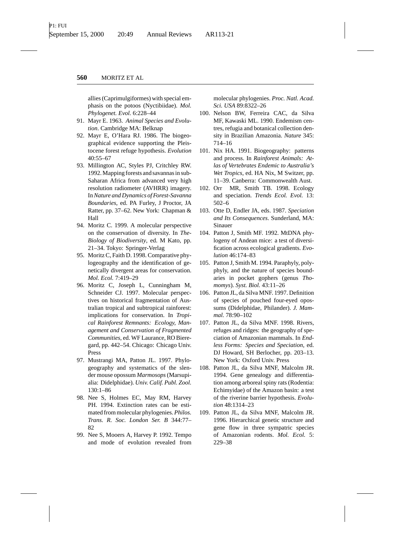allies (Caprimulgiformes) with special emphasis on the potoos (Nyctibiidae). *Mol. Phylogenet. Evol.* 6:228–44

- 91. Mayr E. 1963. *Animal Species and Evolution*. Cambridge MA: Belknap
- 92. Mayr E, O'Hara RJ. 1986. The biogeographical evidence supporting the Pleistocene forest refuge hypothesis. *Evolution* 40:55–67
- 93. Millington AC, Styles PJ, Critchley RW. 1992. Mapping forests and savannas in sub-Saharan Africa from advanced very high resolution radiometer (AVHRR) imagery. In*Nature and Dynamics of Forest-Savanna Boundaries*, ed. PA Furley, J Proctor, JA Ratter, pp. 37–62. New York: Chapman & Hall
- 94. Moritz C. 1999. A molecular perspective on the conservation of diversity. In *The-Biology of Biodiversity*, ed. M Kato, pp. 21–34. Tokyo: Springer-Verlag
- 95. Moritz C, Faith D. 1998. Comparative phylogeography and the identification of genetically divergent areas for conservation. *Mol. Ecol.* 7:419–29
- 96. Moritz C, Joseph L, Cunningham M, Schneider CJ. 1997. Molecular perspectives on historical fragmentation of Australian tropical and subtropical rainforest: implications for conservation. In *Tropical Rainforest Remnants: Ecology, Management and Conservation of Fragmented Communities*, ed. WF Laurance, RO Bieregard, pp. 442–54. Chicago: Chicago Univ. Press
- 97. Mustrangi MA, Patton JL. 1997. Phylogeography and systematics of the slender mouse opossum *Marmosops*(Marsupialia: Didelphidae). *Univ. Calif. Publ. Zool.* 130:1–86
- 98. Nee S, Holmes EC, May RM, Harvey PH. 1994. Extinction rates can be estimated from molecular phylogenies.*Philos. Trans. R. Soc. London Ser. B* 344:77– 82
- 99. Nee S, Mooers A, Harvey P. 1992. Tempo and mode of evolution revealed from

molecular phylogenies. *Proc. Natl. Acad. Sci. USA* 89:8322–26

- 100. Nelson BW, Ferreira CAC, da Silva MF, Kawaski ML. 1990. Endemism centres, refugia and botanical collection density in Brazilian Amazonia. *Nature* 345: 714–16
- 101. Nix HA. 1991. Biogeography: patterns and process. In *Rainforest Animals: Atlas of Vertebrates Endemic to Australia's Wet Tropics*, ed. HA Nix, M Switzer, pp. 11–39. Canberra: Commonwealth Aust.
- 102. Orr MR, Smith TB. 1998. Ecology and speciation. *Trends Ecol. Evol.* 13: 502–6
- 103. Otte D, Endler JA, eds. 1987. *Speciation and Its Consequences*. Sunderland, MA: Sinauer
- 104. Patton J, Smith MF. 1992. MtDNA phylogeny of Andean mice: a test of diversification across ecological gradients. *Evolution* 46:174–83
- 105. Patton J, Smith M. 1994. Paraphyly, polyphyly, and the nature of species boundaries in pocket gophers (genus *Thomomys*). *Syst. Biol.* 43:11–26
- 106. Patton JL, da Silva MNF. 1997. Definition of species of pouched four-eyed opossums (Didelphidae, Philander). *J. Mammal.* 78:90–102
- 107. Patton JL, da Silva MNF. 1998. Rivers, refuges and ridges: the geography of speciation of Amazonian mammals. In *Endless Forms: Species and Speciation*, ed. DJ Howard, SH Berlocher, pp. 203–13. New York: Oxford Univ. Press
- 108. Patton JL, da Silva MNF, Malcolm JR. 1994. Gene genealogy and differentiation among arboreal spiny rats (Rodentia: Echimyidae) of the Amazon basin: a test of the riverine barrier hypothesis. *Evolution* 48:1314–23
- 109. Patton JL, da Silva MNF, Malcolm JR. 1996. Hierarchical genetic structure and gene flow in three sympatric species of Amazonian rodents. *Mol. Ecol.* 5: 229–38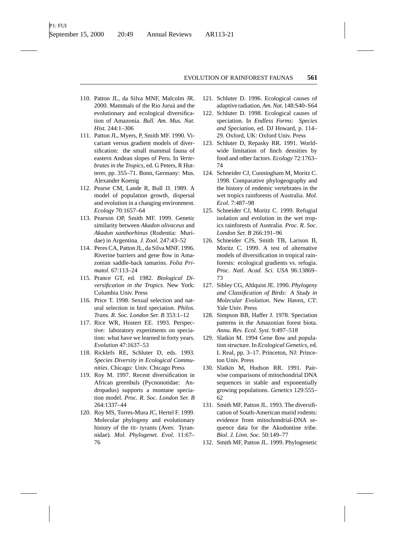- 110. Patton JL, da Silva MNF, Malcolm JR. 2000. Mammals of the Rio Juruá and the evolutionary and ecological diversification of Amazonia. *Bull. Am. Mus. Nat. Hist.* 244:1–306
- 111. Patton JL, Myers, P, Smith MF. 1990. Vicariant versus gradient models of diversification: the small mammal fauna of eastern Andean slopes of Peru. In *Vertebrates in the Tropics*, ed. G Peters, R Hutterer, pp. 355–71. Bonn, Germany: Mus. Alexander Koenig
- 112. Pearse CM, Lande R, Bull JJ. 1989. A model of population growth, dispersal and evolution in a changing environment. *Ecology* 70:1657–64
- 113. Pearson OP, Smith MF. 1999. Genetic similarity between *Akadon olivaceus* and *Akadon xanthorhinus* (Rodentia: Muridae) in Argentina. *J. Zool.* 247:43–52
- 114. Peres CA, Patton JL, da Silva MNF. 1996. Riverine barriers and gene flow in Amazonian saddle-back tamarins. *Folia Primatol.* 67:113–24
- 115. Prance GT, ed. 1982. *Biological Diversification in the Tropics.* New York: Columbia Univ. Press
- 116. Price T. 1998. Sexual selection and natural selection in bird speciation. *Philos. Trans. R. Soc. London Ser. B* 353:1–12
- 117. Rice WR, Hostert EE. 1993. Perspective: laboratory experiments on speciation: what have we learned in forty years. *Evolution* 47:1637–53
- 118. Ricklefs RE, Schluter D, eds. 1993. *Species Diversity in Ecological Communities*. Chicago: Univ. Chicago Press
- 119. Roy M. 1997. Recent diversification in African greenbuls (Pycnonotidae: Andropadus) supports a montane speciation model. *Proc. R. Soc. London Ser. B* 264:1337–44
- 120. Roy MS, Torres-Mura JC, Hertel F. 1999. Molecular phylogeny and evolutionary history of the tit- tyrants (Aves: Tyrannidae). *Mol. Phylogenet. Evol.* 11:67– 76
- 121. Schluter D. 1996. Ecological causes of adaptive radiation.*Am. Nat.* 148:S40–S64
- 122. Schluter D. 1998. Ecological causes of speciation. In *Endless Forms: Species and Speciation*, ed. DJ Howard, p. 114– 29. Oxford, UK: Oxford Univ. Press
- 123. Schluter D, Repasky RR. 1991. Worldwide limitation of finch densities by food and other factors. *Ecology* 72:1763– 74
- 124. Schneider CJ, Cunningham M, Moritz C. 1998. Comparative phylogeography and the history of endemic vertebrates in the wet tropics rainforests of Australia. *Mol. Ecol.* 7:487–98
- 125. Schneider CJ, Moritz C. 1999. Refugial isolation and evolution in the wet tropics rainforests of Australia. *Proc. R. Soc. London Ser. B* 266:191–96
- 126. Schneider CJS, Smith TB, Larison B, Moritz C. 1999. A test of alternative models of diversification in tropical rainforests: ecological gradients vs. refugia. *Proc. Natl. Acad. Sci. USA* 96:13869– 73
- 127. Sibley CG, Ahlquist JE. 1990. *Phylogeny and Classification of Birds: A Study in Molecular Evolution*. New Haven, CT: Yale Univ. Press
- 128. Simpson BB, Haffer J. 1978. Speciation patterns in the Amazonian forest biota. *Annu. Rev. Ecol. Syst.* 9:497–518
- 129. Slatkin M. 1994 Gene flow and population structure. In *Ecological Genetics*, ed. L Real, pp. 3–17. Princeton, NJ: Princeton Univ. Press
- 130. Slatkin M, Hudson RR. 1991. Pairwise comparisons of mitochondrial DNA sequences in stable and exponentially growing populations. *Genetics* 129:555– 62
- 131. Smith MF, Patton JL. 1993. The diversification of South-American murid rodents: evidence from mitochondrial-DNA sequence data for the Akodontine tribe. *Biol. J. Linn. Soc.* 50:149–77
- 132. Smith MF, Patton JL. 1999. Phylogenetic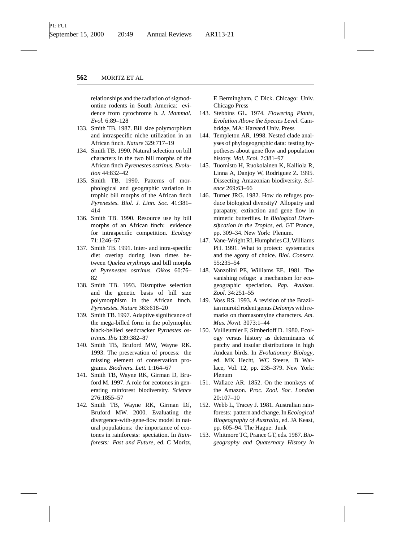relationships and the radiation of sigmodontine rodents in South America: evidence from cytochrome b. *J. Mammal. Evol.* 6:89–128

- 133. Smith TB. 1987. Bill size polymorphism and intraspecific niche utilization in an African finch. *Nature* 329:717–19
- 134. Smith TB. 1990. Natural selection on bill characters in the two bill morphs of the African finch *Pyrenestes ostrinus. Evolution* 44:832–42
- 135. Smith TB. 1990. Patterns of morphological and geographic variation in trophic bill morphs of the African finch *Pyrenestes. Biol. J. Linn. Soc.* 41:381– 414
- 136. Smith TB. 1990. Resource use by bill morphs of an African finch: evidence for intraspecific competition. *Ecology* 71:1246–57
- 137. Smith TB. 1991. Inter- and intra-specific diet overlap during lean times between *Quelea erythrops* and bill morphs of *Pyrenestes ostrinus. Oikos* 60:76– 82
- 138. Smith TB. 1993. Disruptive selection and the genetic basis of bill size polymorphism in the African finch. *Pyrenestes. Nature* 363:618–20
- 139. Smith TB. 1997. Adaptive significance of the mega-billed form in the polymophic black-bellied seedcracker *Pyrnestes ostrinus*. *Ibis* 139:382–87
- 140. Smith TB, Bruford MW, Wayne RK. 1993. The preservation of process: the missing element of conservation programs. *Biodivers. Lett.* 1:164–67
- 141. Smith TB, Wayne RK, Girman D, Bruford M. 1997. A role for ecotones in generating rainforest biodiversity. *Science* 276:1855–57
- 142. Smith TB, Wayne RK, Girman DJ, Bruford MW. 2000. Evaluating the divergence-with-gene-flow model in natural populations: the importance of ecotones in rainforests: speciation. In *Rainforests: Past and Future*, ed. C Moritz,

E Bermingham, C Dick. Chicago: Univ. Chicago Press

- 143. Stebbins GL. 1974. *Flowering Plants, Evolution Above the Species Level.* Cambridge, MA: Harvard Univ. Press
- 144. Templeton AR. 1998. Nested clade analyses of phylogeographic data: testing hypotheses about gene flow and population history. *Mol. Ecol.* 7:381–97
- 145. Tuomisto H, Ruokolainen K, Kalliola R, Linna A, Danjoy W, Rodriguez Z. 1995. Dissecting Amazonian biodiversity. *Science* 269:63–66
- 146. Turner JRG. 1982. How do refuges produce biological diversity? Allopatry and parapatry, extinction and gene flow in mimetic butterflies. In *Biological Diversification in the Tropics*, ed. GT Prance, pp. 309–34. New York: Plenum.
- 147. Vane-Wright RI, Humphries CJ, Williams PH. 1991. What to protect: systematics and the agony of choice. *Biol. Conserv.* 55:235–54
- 148. Vanzolini PE, Williams EE. 1981. The vanishing refuge: a mechanism for ecogeographic speciation. *Pap. Avulsos. Zool.* 34:251–55
- 149. Voss RS. 1993. A revision of the Brazilian muroid rodent genus *Delomys* with remarks on thomasomyine characters. *Am. Mus. Novit.* 3073:1–44
- 150. Vuilleumier F, Simberloff D. 1980. Ecology versus history as determinants of patchy and insular distributions in high Andean birds. In *Evolutionary Biology*, ed. MK Hecht, WC Steere, B Wallace, Vol. 12, pp. 235–379. New York: Plenum
- 151. Wallace AR. 1852. On the monkeys of the Amazon. *Proc. Zool. Soc. London* 20:107–10
- 152. Webb L, Tracey J. 1981. Australian rainforests: pattern and change. In *Ecological Biogeography of Australia*, ed. JA Keast, pp. 605–94. The Hague: Junk
- 153. Whitmore TC, Prance GT, eds. 1987. *Biogeography and Quaternary History in*